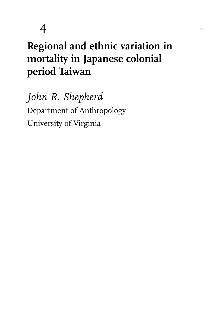# **Regional and ethnic variation in mortality in Japanese colonial period Taiwan**

*John R. Shepherd*  Department of Anthropology University of Virginia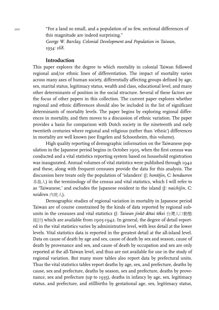*100* "For a land so small, and a population of so few, sectional differences of this magnitude are indeed surprising." *George W. Barclay, Colonial Development and Population in Taiwan, 1954: 168.* 

## **Introduction**

This paper explores the degree to which mortality in colonial Taiwan followed regional and/or ethnic lines of differentiation. The impact of mortality varies across many axes of human society, differentially affecting groups defined by age, sex, marital status, legitimacy status, wealth and class, educational level, and many other determinants of position in the social structure. Several of these factors are the focus of other papers in this collection. The current paper explores whether regional and ethnic differences should also be included in the list of significant determinants of mortality levels. The paper begins by exploring regional differences in mortality, and then moves to a discussion of ethnic variation. The paper provides a basis for comparison with Dutch society in the nineteenth and early twentieth centuries where regional and religious (rather than 'ethnic') differences in mortality are well known (see Engelen and Schoonheim, this volume).

High quality reporting of demographic information on the Taiwanese population in the Japanese period begins in October 1905, when the first census was conducted and a vital statistics reporting system based on household registration was inaugurated. Annual volumes of vital statistics were published through 1942 and these, along with frequent censuses provide the data for this analysis. The discussion here treats only the population of 'islanders' (J; *hontōjin*, C: *bendaoren* 本島人) in the terminology of the census and vital statistics, which I will refer to as 'Taiwanese,' and excludes the Japanese resident in the island (J: *naichijin*, C: *neidiren* 內地人).

Demographic studies of regional variation in mortality in Japanese period Taiwan are of course constrained by the kinds of data reported by regional subunits in the censuses and vital statistics (J: *Taiwan jinkō dōtai tōkei* 台灣人口動態 統計) which are available from 1905-1942. In general, the degree of detail reported in the vital statistics varies by administrative level, with less detail at the lower levels. Vital statistics data is reported in the greatest detail at the all-island level. Data on cause of death by age and sex, cause of death by sex and season, cause of death by provenance and sex, and cause of death by occupation and sex are only reported at the all-Taiwan level, and thus are not available for use in the study of regional variation. But many more tables also report data by prefectural units. Thus the vital statistics tables report deaths by age, sex, and prefecture, deaths by cause, sex and prefecture, deaths by season, sex and prefecture, deaths by provenance, sex and prefecture (up to 1935), deaths in infancy by age, sex, legitimacy status, and prefecture, and stillbirths by gestational age, sex, legitimacy status,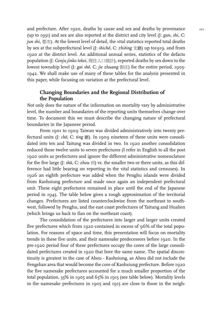and prefecture. After 1920, deaths by cause and sex and deaths by provenance *101* (up to 1931) and sex are also reported at the district and city level (J: *gun*, *shi*, C: *jun shi*, 郡市). At the lowest level of detail, the vital statistics reported total deaths by sex at the subprefectural level (J: *shichō*, C: *zhiting* 支廳) up to1919, and from 1920 at the district level. An additional annual series, statistics of the defacto population (J: *Genju jinko tokei*, 現住人口統計), reported deaths by sex down to the lowest township level (J: *gai shō*, C: *jie zhuang* 街庄) for the entire period, 1905-1942. We shall make use of many of these tables for the analysis presented in this paper, while focusing on variation at the prefectural level.

## **Changing Boundaries and the Regional Distribution of the Population**

Not only does the nature of the information on mortality vary by administrative level, the number and boundaries of the reporting units themselves change over time. To document this we must describe the changing nature of prefectural boundaries in the Japanese period.

From 1901 to 1909 Taiwan was divided administratively into twenty prefectural units (J: *chō*, C: *ting* 廳). In 1909 nineteen of these units were consolidated into ten and Taitung was divided in two. In 1920 another consolidation reduced these twelve units to seven prefectures (I refer in English to all the post 1920 units as prefectures and ignore the different administrative nomenclature for the five large (J: *shū*, C: *zhou* 州) vs. the smaller two or three units, as this difference had little bearing on reporting in the vital statistics and censuses). In 1926 an eighth prefecture was added when the Penghu islands were divided from Kaohsiung prefecture and made once again an independent prefectural unit. These eight prefectures remained in place until the end of the Japanese period in 1945. The table below gives a rough approximation of the territorial changes. Prefectures are listed counterclockwise from the northeast to southwest, followed by Penghu, and the east coast prefectures of Taitung and Hualien (which brings us back to Ilan on the northeast coast).

The consolidation of the prefectures into larger and larger units created five prefectures which from 1920 contained in excess of 96% of the total population. For reasons of space and time, this presentation will focus on mortality trends in these five units, and their namesake predecessors before 1920. In the pre-1920 period four of these prefectures occupy the cores of the large consolidated prefectures created in 1920 that bore the same name. The spatial discontinuity is greatest in the case of Ahou - Kaohsiung, as Ahou did not include the Fengshan area that would become the core of Kaohsiung prefecture. Before 1920 the five namesake prefectures accounted for a much smaller proportion of the total population, 33% in 1905 and 65% in 1915 (see table below). Mortality levels in the namesake prefectures in 1905 and 1915 are close to those in the neigh-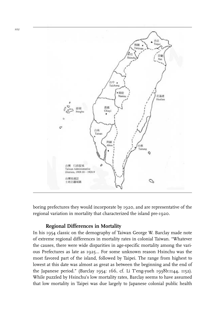

boring prefectures they would incorporate by 1920, and are representative of the regional variation in mortality that characterized the island pre-1920.

## **Regional Differences in Mortality**

In his 1954 classic on the demography of Taiwan George W. Barclay made note of extreme regional differences in mortality rates in colonial Taiwan. "Whatever the causes, there were wide disparities in age-specific mortality among the various Prefectures as late as 1925… For some unknown reason Hsinchu was the most favored part of the island, followed by Taipei. The range from highest to lowest at this date was almost as great as between the beginning and the end of the Japanese period." (Barclay 1954: 166, cf. Li T'eng-yueh 1938b:1144, 1152). While puzzled by Hsinchu's low mortality rates, Barclay seems to have assumed that low mortality in Taipei was due largely to Japanese colonial public health

*102*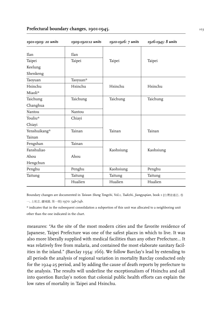| 1901-1909: 20 units | 1909-1920:12 units | 1920-1926: 7 units | 1926-1945: 8 units |
|---------------------|--------------------|--------------------|--------------------|
| <b>Ilan</b>         | Ilan               |                    |                    |
| Taipei              | Taipei             | Taipei             | Taipei             |
| Keelung             |                    |                    |                    |
| Shenkeng            |                    |                    |                    |
| Taoyuan             | Taoyuan*           |                    |                    |
| Hsinchu             | Hsinchu            | Hsinchu            | Hsinchu            |
| Miaoli*             |                    |                    |                    |
| Taichung            | Taichung           | Taichung           | Taichung           |
| Changhua            |                    |                    |                    |
| Nantou              | Nantou             |                    |                    |
| Touliu*             | Chiayi             |                    |                    |
| Chiayi              |                    |                    |                    |
| Yenshuikang*        | Tainan             | Tainan             | Tainan             |
| Tainan              |                    |                    |                    |
| Fengshan            | Tainan             |                    |                    |
| Fanshuliao          |                    | Kaohsiung          | Kaohsiung          |
| Ahou                | Ahou               |                    |                    |
| Hengchun            |                    |                    |                    |
| Penghu              | Penghu             | Kaohsiung          | Penghu             |
| Taitung             | Taitung            | Taitung            | Taitung            |
|                     | Hualien            | Hualien            | Hualien            |

#### **Prefectural boundary changes, 1901-1945.**

Boundary changes are documented in *Taiwan Sheng Tongzhi*, Vol.1, *Tudizhi*, *Jiangyupian*, book 1 (台灣省通志, 卷 一, 土地志, 疆域篇, 第一冊) 1970: 54b-74b.

\* indicates that in the subsequent consolidation a subportion of this unit was allocated to a neighboring unit other than the one indicated in the chart.

measures: "As the site of the most modern cities and the favorite residence of Japanese, Taipei Prefecture was one of the safest places in which to live. It was also more liberally supplied with medical facilities than any other Prefecture… It was relatively free from malaria, and contained the most elaborate sanitary facilities in the island." (Barclay 1954: 166). We follow Barclay's lead by extending to all periods the analysis of regional variation in mortality Barclay conducted only for the 1924-25 period, and by adding the cause of death reports by prefecture to the analysis. The results will underline the exceptionalism of Hsinchu and call into question Barclay's notion that colonial public health efforts can explain the low rates of mortality in Taipei and Hsinchu.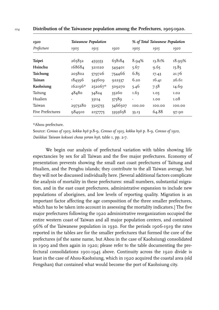| 1920                    | Taiwanese Population |           |         |        | % of Total Taiwanese Population |                   |
|-------------------------|----------------------|-----------|---------|--------|---------------------------------|-------------------|
| Prefecture              | 1905                 | 1915      | 1020    | 1905   | 1915                            | 1020              |
| <b>Taipei</b>           | 265832               | 459353    | 658184  | 8.94%  | 13.81%                          | 18.99%            |
| Hsinchu                 | 168684               | 321020    | 549401  | 5.67   | 9.65                            | 15.85             |
| Taichung                | 203802               | 579726    | 754466  | 6.85   | I7.43                           | 21.76             |
| Tainan                  | 184396               | 545609    | 922337  | 6.20   | 16.41                           | 26.6 <sub>T</sub> |
| Kaohsiung               | 162196*              | $252067*$ | 509270  | 5.46   | 7.58                            | 14.69             |
| Taitung                 | 48480                | 34824     | 35260   | 1.63   | I.05                            | I.O <sub>2</sub>  |
| Hualien                 |                      | 33II4     | 37589   |        | <b>I.OO</b>                     | т.о8              |
| Taiwan                  | 2973280              | 3325755   | 3466507 | 100.00 | 100.00                          | 100.00            |
| <b>Five Prefectures</b> | 984910               | 2157775   | 3393658 | 33.13  | 64.88                           | 97.90             |

#### **Distribution of the Taiwanese population among the Prefectures, 1905-1920.**

\*Ahou prefecture.

Source: *Census of 1905, kekka hy¯o* p.8-9, *Census of 1915, kekka hy¯o* p. 8-9, *Census of 1920, Daiikkai Taiwan kokusei chosa yoran hy¯o*, table 1, pp. 2-7.

We begin our analysis of prefectural variation with tables showing life expectancies by sex for all Taiwan and the five major prefectures. Economy of presentation prevents showing the small east coast prefectures of Taitung and Hualien, and the Penghu islands; they contribute to the all Taiwan average, but they will not be discussed individually here. [Several additional factors complicate the analysis of mortality in these prefectures: small numbers, substantial migration, and in the east coast prefectures, administrative expansion to include new populations of aborigines, and low levels of reporting quality. Migration is an important factor affecting the age composition of the three smaller prefectures, which has to be taken into account in assessing the mortality indicators.] The five major prefectures following the 1920 administrative reorganization occupied the entire western coast of Taiwan and all major population centers, and contained 96% of the Taiwanese population in 1930. For the periods 1906-1919 the rates reported in the tables are for the smaller prefectures that formed the core of the prefectures (of the same name, but Ahou in the case of Kaohsiung) consolidated in 1909 and then again in 1920; please refer to the table documenting the prefectural consolidations 1901-1945 above. Continuity across the 1920 divide is least in the case of Ahou-Kaohsiung, which in 1920 acquired the coastal area (old Fengshan) that contained what would become the port of Kaohsiung city.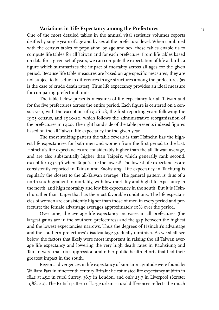## **Variations in Life Expectancy among the Prefectures** *<sup>105</sup>*

One of the most detailed tables in the annual vital statistics volumes reports deaths by single years of age and by sex at the prefectural level. When combined with the census tables of population by age and sex, these tables enable us to compute life tables for all Taiwan and for each prefecture. From life tables based on data for a given set of years, we can compute the expectation of life at birth, a figure which summarizes the impact of mortality across all ages for the given period. Because life table measures are based on age-specific measures, they are not subject to bias due to differences in age structures among the prefectures (as is the case of crude death rates). Thus life expectancy provides an ideal measure for comparing prefectural units.

The table below presents measures of life expectancy for all Taiwan and for the five prefectures across the entire period. Each figure is centered on a census year, with the exception of 1906-08, the first reporting years following the 1905 census, and 1920-22, which follows the administrative reorganization of the prefectures in 1920. The right hand side of the table presents indexed figures based on the all Taiwan life expectancy for the given year.

The most striking pattern the table reveals is that Hsinchu has the highest life expectancies for both men and women from the first period to the last. Hsinchu's life expectancies are considerably higher than the all Taiwan average, and are also substantially higher than Taipei's, which generally rank second, except for 1934-36 when Taipei's are the lowest! The lowest life expectancies are consistently reported in Tainan and Kaohsiung. Life expectancy in Taichung is regularly the closest to the all-Taiwan average. The general pattern is thus of a north-south gradient in mortality, with low mortality and high life expectancy in the north, and high mortality and low life expectancy in the south. But it is Hsinchu rather than Taipei that has the most favorable conditions. The life expectancies of women are consistently higher than those of men in every period and prefecture; the female advantage averages approximately 10% over the period.

Over time, the average life expectancy increases in all prefectures (the largest gains are in the southern prefectures) and the gap between the highest and the lowest expectancies narrows. Thus the degrees of Hsinchu's advantage and the southern prefectures' disadvantage gradually diminish. As we shall see below, the factors that likely were most important in raising the all Taiwan average life expectancy and lowering the very high death rates in Kaohsiung and Tainan were malaria suppression and other public health efforts that had their greatest impact in the south.

Regional divergences in life expectancy of similar magnitude were found by William Farr in nineteenth century Britain: he estimated life expectancy at birth in 1841 at 45.1 in rural Surrey, 36.7 in London, and only 25.7 in Liverpool (Szreter 1988: 20). The British pattern of large urban – rural differences reflects the much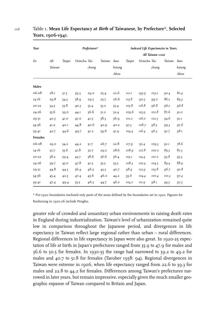| Year      |        |        |              | Prefectures* |        |        |        | Indexed Life Expectancies in Years, |                 |        |        |
|-----------|--------|--------|--------------|--------------|--------|--------|--------|-------------------------------------|-----------------|--------|--------|
|           |        |        |              |              |        |        |        |                                     | All Taiwan =100 |        |        |
| Eo        | All    | Taipei | Hsinchu Tai- |              | Tainan | Kao-   | Taipei | Hsinchu Tai-                        |                 | Tainan | Kao-   |
|           | Taiwan |        |              | chung        |        | hsiung |        |                                     | chung           |        | hsiung |
|           |        |        |              |              |        | Ahou   |        |                                     |                 |        | Ahou   |
|           |        |        |              |              |        |        |        |                                     |                 |        |        |
| Males     |        |        |              |              |        |        |        |                                     |                 |        |        |
| $06 - 08$ | 28.1   | 31.5   | 39.3         | 29.0         | 25.4   | 22.6   | 112.1  | 139.9                               | 103.2           | 90.4   | 80.4   |
| 14-16     | 29.8   | 34.5   | 38.9         | 29.5         | 25.7   | 26.6   | 115.8  | 130.5                               | 99.0            | 86.2   | 89.3   |
| $20 - 22$ | 34.5   | 35.8   | 40.3         | 33.4         | 33.2   | 33.4   | 103.8  | 116.8                               | 06.8            | 06.2   | 06.8   |
| 24-26     | 35.6   | 39.0   | 44.1         | 36.6         | 3I.2   | 32.4   | 109.6  | 123.9                               | 102.8           | 87.6   | 01.0   |
| $29 - 31$ | 40.5   | 41.0   | 47.0         | 41.5         | 38.3   | 36.9   | 101.2  | 116.0                               | 102.5           | 94.6   | 01.1   |
| $34 - 36$ | 41.2   | 40.I   | 44.8         | 40.6         | 40.9   | 40.2   | 97.3   | 108.7                               | 98.5            | 99.3   | 97.6   |
| $39 - 41$ | 42.7   | 44.6   | 49.7         | 41.2         | 39.6   | 41.9   | 104.4  | 116.4                               | 96.5            | 92.7   | 08.1   |
| Females   |        |        |              |              |        |        |        |                                     |                 |        |        |
| $06 - 08$ | 29.0   | 34.2   | 44.2         | 31.7         | 26.7   | 22.8   | 117.9  | 152.4                               | 109.3           | 92.1   | 78.6   |
| 14-16     | 32.7   | 35.6   | 41.8         | 32.7         | 29.2   | 28.6   | 108.9  | 127.8                               | 100.0           | 89.3   | 87.5   |
| $20 - 22$ | 38.2   | 39.4   | 43.7         | 38.6         | 36.6   | 36.4   | 103.1  | 114.4                               | 101.0           | 95.8   | 95.3   |
| 24-26     | 39.7   | 43.0   | 47.8         | 41.5         | 35.5   | 35.3   | 108.3  | 120.4                               | 104.5           | 89.4   | 88.9   |
| $29 - 31$ | 44.8   | 44.3   | 56.4         | 46.5         | 43.3   | 40.7   | 98.9   | 125.9                               | 103.8           | 96.7   | 00.8   |
| 34-36     | 45.4   | 42.5   | 47.4         | 45.6         | 46.0   | 44.2   | 93.6   | 104.4                               | 100.4           | 101.3  | 97.4   |
| $39 - 41$ | 47.4   | 49.4   | 53.5         | 46.5         | 44.7   | 46.2   | 104.2  | 112.9                               | 08.1            | 94.3   | 97.5   |

# Table 1. **Mean Life Expectancy** *at Birth* **of Taiwanese, by Prefecture**\***, Selected Years, 1906-1941.**

\* Pre-1920 boundaries enclosed only parts of the areas defined by the boundaries set in 1920. Figures for Kaohsiung in 1920-26 include Penghu.

greater role of crowded and unsanitary urban environments in raising death rates in England during industrialization. Taiwan's level of urbanization remained quite low in comparison throughout the Japanese period, and divergences in life expectancy in Taiwan reflect large regional rather than urban – rural differences. Regional differences in life expectancy in Japan were also great. In 1920-25 expectation of life at birth in Japan's prefectures ranged from 35.9 to 47.9 for males and 36.6 to 50.5 for females. In 1930-35 the range had narrowed to 39.2 to 49.2 for males and 40.7 to 51.8 for females (Taeuber 1958: 94). Regional divergences in Taiwan were extreme in 1906, when life expectancy ranged from 22.6 to 39.3 for males and 22.8 to 44.2 for females. Differences among Taiwan's prefectures narrowed in later years, but remain impressive, especially given the much smaller geographic expanse of Taiwan compared to Britain and Japan.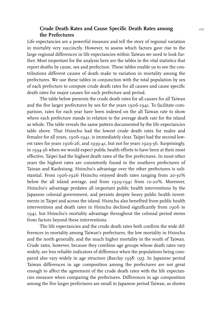## **Crude Death Rates and Cause Specific Death Rates among** *<sup>107</sup>* **the Prefectures**

Life expectancies are a powerful measure and tell the story of regional variation in mortality very succinctly. However, to assess which factors gave rise to the large regional differences in life expectancies within Taiwan we need to look further. Most important for the analysis here are the tables in the vital statistics that report deaths by cause, sex and prefecture. These tables enable us to see the contributions different causes of death make to variation in mortality among the prefectures. We use these tables in conjunction with the total population by sex of each prefecture to compute crude death rates for all causes and cause specific death rates for major causes for each prefecture and period.

The table below presents the crude death rates for all causes for all Taiwan and the five larger prefectures by sex for the years 1906-1941. To facilitate comparison, rates for each year have been indexed on the all Taiwan rate to show where each prefecture stands in relation to the average death rate for the island as whole. The table reveals the same pattern documented by the life expectancies table above. That Hsinchu had the lowest crude death rates for males and females for all years, 1906-1941, is immediately clear. Taipei had the second lowest rates for years 1906-26, and 1939-41, but not for years 1929-36. Surprisingly, in 1934-36 when we would expect public health efforts to have been at their most effective, Taipei had the highest death rates of the five prefectures. In most other years the highest rates are consistently found in the southern prefectures of Tainan and Kaohsiung. Hsinchu's advantage over the other prefectures is substantial. From 1906-1926 Hsinchu enjoyed death rates ranging from 20-30% below the all island average, and from 1929-1941 from 10-20%. Moreover, Hsinchu's advantage predates all important public health interventions by the Japanese colonial government, and persists despite heavy public health investments in Taipei and across the island. Hsinchu also benefited from public health interventions and death rates in Hsinchu declined significantly from 1906 to 1941, but Hsinchu's mortality advantage throughout the colonial period stems from factors beyond these interventions.

The life expectancies and the crude death rates both confirm the wide differences in mortality among Taiwan's prefectures, the low mortality in Hsinchu and the north generally, and the much higher mortality in the south of Taiwan. Crude rates, however, because they combine age groups whose death rates vary widely, are less reliable indicators of difference when the populations being compared also vary widely in age structure (Barclay 1958: 135). In Japanese period Taiwan differences in age composition among the prefectures are not great enough to affect the agreement of the crude death rates with the life expectancies measure when comparing the prefectures. Differences in age composition among the five larger prefectures are small in Japanese period Taiwan, as shown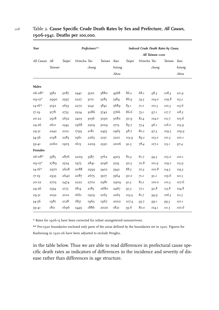| Year           |        |        |              | Prefectures** |        |        |        | Indexed Crude Death Rates by Cause, |                 |        |        |
|----------------|--------|--------|--------------|---------------|--------|--------|--------|-------------------------------------|-----------------|--------|--------|
|                |        |        |              |               |        |        |        |                                     | All Taiwan =100 |        |        |
| All Causes All |        | Taipei | Hsinchu Tai- |               | Tainan | Kao-   | Taipei | Hsinchu Tai-                        |                 | Tainan | Kao-   |
|                | Taiwan |        |              | chung         |        | hsiung |        |                                     | chung           |        | hsiung |
|                |        |        |              |               |        | Ahou   |        |                                     |                 |        | Ahou   |
|                |        |        |              |               |        |        |        |                                     |                 |        |        |
| Males          |        |        |              |               |        |        |        |                                     |                 |        |        |
| $06 - 08*$     | 3582   | 3087   | 244I         | 3520          | 3880   | 4368   | 86.2   | 68.1                                | 98.3            | 108.3  | 121.9  |
| $09 - 13*$     | 2990   | 2597   | 2227         | 3110          | 3283   | 3384   | 86.9   | 74.5                                | 104.0           | 109.8  | 113.2  |
| $14 - 16*$     | 3192   | 2653   | 2272         | 3241          | 3841   | 3689   | 83.1   | 71.2                                | 101.5           | 120.3  | 115.6  |
| $17 - 19$      | 3178   | 2753   | 2324         | 3086          | 3742   | 3766   | 86.6   | 73.1                                | 97.1            | 117.7  | 118.5  |
| $20 - 22$      | 2918   | 2652   | 2403         | 3036          | 3290   | 3080   | 90.9   | 82.4                                | 104.0           | 112.7  | 105.6  |
| $24 - 26$      | 2611   | 2343   | 1968         | 2509          | 3029   | 2713   | 89.7   | $75-4$                              | 96.1            | 116.0  | 103.9  |
| $29 - 31$      | 2242   | 2212   | 1799         | 2181          | 2455   | 2463   | 98.7   | 80.2                                | 97.3            | 109.5  | 109.9  |
| $34 - 36$      | 2198   | 2283   | 1961         | 2265          | 2231   | 2201   | 103.9  | 89.2                                | 103.0           | 101.5  | 100.1  |
| $39 - 41$      | 2060   | 1905   | 1615         | 2200          | 2330   | 2006   | 92.5   | 78.4                                | 107.2           | 113.1  | 97.4   |
| Females        |        |        |              |               |        |        |        |                                     |                 |        |        |
| $06 - 08*$     | 3583   | 2876   | 2200         | 3387          | 3762   | 4303   | 80.3   | 61.7                                | 94.5            | 105.0  | 120.1  |
| $09 - 13*$     | 2789   | 2524   | 1975         | 284I          | 3046   | 3233   | 90.5   | 70.8                                | 101.9           | 109.2  | 115.9  |
| $14 - 16*$     | 2970   | 2628   | 2088         | 2993          | 3402   | 3542   | 88.5   | 70.3                                | 100.8           | 114.5  | 119.3  |
| $I7 - I9$      | 2933   | 2640   | 2087         | 2675          | 3507   | 3564   | 90.0   | 71.2                                | Q1.2            | 119.6  | 121.5  |
| $20 - 22$      | 2703   | 2474   | 2222         | 2702          | 2981   | 2000   | 91.5   | 82.2                                | 100.0           | 110.3  | 107.6  |
| $24 - 26$      | 2354   | 2173   | 1814         | 2185          | 2680   | 2467   | 92.3   | 77.1                                | 92.8            | 113.8  | 104.8  |
| $29 - 31$      | 2032   | 2102   | 1661         | 1929          | 2165   | 2265   | 103.4  | 81.7                                | 94.9            | 106.5  | 111.5  |
| $34 - 36$      | 1981   | 2128   | 1857         | 1963          | 1967   | 2002   | 107.4  | 93.7                                | 99.1            | 99.3   | 101.1  |
| $39 - 41$      | 1811   | 1696   | 1449         | 1886          | 2020   | 1821   | 93.6   | 80.0                                | 104.1           | 111.5  | 100.6  |

# Table 2. **Cause Specific Crude Death Rates by Sex and Prefecture,** *All Causes***, 1906-1941. Deaths per** *100,000***.**

\* Rates for 1906-15 have been corrected for infant unregistered nonsurvivors**.** 

**\*\*** Pre-1920 boundaries enclosed only parts of the areas defined by the boundaries set in 1920. Figures for Kaohsiung in 1920-26 have been adjusted to exclude Penghu.

in the table below. Thus we are able to read differences in prefectural cause specific death rates as indicators of differences in the incidence and severity of disease rather than differences in age structure.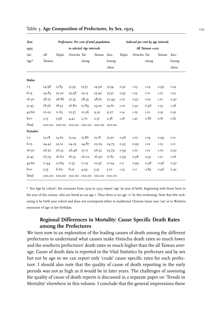| Year      |        |                  | Prefectures: Per cent of total population |                           |        |        |        | Indexed per cent by age interval, |                 |        |        |
|-----------|--------|------------------|-------------------------------------------|---------------------------|--------|--------|--------|-----------------------------------|-----------------|--------|--------|
| 1925      |        |                  |                                           | in selected Age intervals |        |        |        |                                   | All Taiwan =100 |        |        |
| Sui       | All    | Taipei           | Hsinchu Tai-                              |                           | Tainan | Kao-   | Taipei | Hsinchu Tai-                      |                 | Tainan | Kao-   |
| $Age*$    | Taiwan |                  |                                           | chung                     |        | hsiung |        |                                   | chung           |        | hsiung |
|           |        |                  |                                           |                           |        | Ahou   |        |                                   |                 |        | Ahou   |
| Males     |        |                  |                                           |                           |        |        |        |                                   |                 |        |        |
| $I-5$     | 14.98  | 13.83            | 15.39                                     | 15.57                     | 14.90  | 15.54  | 0.92   | 1.03                              | 1.04            | 0.99   | 1.04   |
| $6 - 15$  | 24.83  | 23.20            | 25.48                                     | 25.13                     | 25.40  | 25.51  | 0.93   | 1.03                              | 1.01            | 1.02   | 1.03   |
| 16-30     | 28.27  | 28.86            | 27.35                                     | 28.35                     | 28.61  | 27.49  | 1.02   | 0.97                              | 1.00            | 1.01   | 0.97   |
| $3I - 45$ | 18.56  | 18.52            | 16.80                                     | 17.89                     | 19.20  | 19.61  | 1.00   | 0.91                              | 0.96            | 1.03   | 1.06   |
| $45 - 60$ | 10.22  | 11.63            | 10.57                                     | 10.36                     | 9.32   | 9.27   | 1.14   | 1.03                              | 1.01            | 0.01   | 0.01   |
| $60+$     | 3.15   | 3.96             | 4.42                                      | 2.70                      | 2.57   | 2.58   | 1.26   | 1.40                              | 0.86            | 0.81   | 0.82   |
| Total     |        |                  | I00.00 I00.00 I00.00 I00.00 I00.00 I00.00 |                           |        |        |        |                                   |                 |        |        |
| Females   |        |                  |                                           |                           |        |        |        |                                   |                 |        |        |
| $I-5$     | 15.28  | 14.63            | 15.24                                     | 15.86                     | 15.18  | 15.50  | 0.96   | 1.00                              | 1.04            | 0.99   | 1.01   |
| $6 - 15$  | 24.42  | 23.12            | 24.25                                     | 24.87                     | 25.09  | 24.75  | 0.95   | 0.99                              | 1.02            | 1.03   | 1.01   |
| 16-30     | 26.52  | 26.33            | 26.46                                     | 27.II                     | 26.52  | 25.79  | 0.99   | 1.00                              | 1.02            | 1.00   | 0.97   |
| $3I - 45$ | 16.79  | 16.62            | 16.53                                     | 16.02                     | 16.90  | 17.81  | 0.99   | 0.98                              | 0.95            | 1.01   | 1.06   |
| $45 - 60$ | II.44  | 12.69            | 11.37                                     | II.I9                     | 10.97  | II.04  | 1.11   | 0.99                              | 0.98            | 0.96   | 0.97   |
| $60+$     | 5.55   | 6.6 <sub>o</sub> | 6.15                                      | 4.95                      | 5.33   | 5.10   | 1.19   | 1.11                              | 0.89            | 0.96   | 0.92   |
| Total     |        |                  | IOO.00 IOO.00 IOO.00 IOO.00 IOO.00 IOO.00 |                           |        |        |        |                                   |                 |        |        |

#### Table 3. **Age Composition of Prefectures, by Sex, 1925.**

\* 'Sui Age by cohort': the censuses from 1905 to 1925 report 'age' by year of birth, beginning with those born in the year of the census, who are listed as sui age 1. Thus there is no age 'o' by this reckoning. Note that this reckoning is by birth year cohort and does not correspond either to traditional Chinese lunar year 'sui' or to Western measures of age at last birthday.

# **Regional Differences in Mortality: Cause Specific Death Rates among the Prefectures**

We turn now to an exploration of the leading causes of death among the different prefectures to understand what causes make Hsinchu death rates so much lower and the southern prefectures' death rates so much higher than the all Taiwan average. Cause of death data is reported in the Vital Statistics by prefecture and by sex but not by age so we can report only 'crude' cause specific rates for each prefecture. I should also note that the quality of cause of death reporting in the early periods was not as high as it would be in later years. The challenges of assessing the quality of cause of death reports is discussed in a separate paper on 'Trends in Mortality' elsewhere in this volume. I conclude that the general impressions these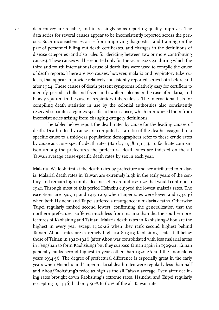*110* data convey are reliable, and increasingly so as reporting quality improves. The data series for several causes appear to be inconsistently reported across the periods. Such inconsistencies arise from improving diagnostics and training on the part of personnel filling out death certificates, and changes in the definitions of disease categories (and also rules for deciding between two or more contributing causes). These causes will be reported only for the years 1924-41, during which the third and fourth international cause of death lists were used to compile the cause of death reports. There are two causes, however, malaria and respiratory tuberculosis, that appear to provide relatively consistently reported series both before and after 1924. These causes of death present symptoms relatively easy for certifiers to identify, periodic chills and fevers and swollen spleens in the case of malaria, and bloody sputum in the case of respiratory tuberculosis. The international lists for compiling death statistics in use by the colonial authorities also consistently reserved separate categories specific to these causes, which immunized them from inconsistencies arising from changing category definitions.

> The tables below report the death rates by cause for the leading causes of death. Death rates by cause are computed as a ratio of the deaths assigned to a specific cause to a mid-year population; demographers refer to these crude rates by cause as cause-specific death rates (Barclay 1958: 151-55). To facilitate comparison among the prefectures the prefectural death rates are indexed on the all Taiwan average cause-specific death rates by sex in each year.

> **Malaria**. We look first at the death rates by prefecture and sex attributed to malaria. Malarial death rates in Taiwan are extremely high in the early years of the century, and remain high until a decline set in around 1920-22 that would continue to 1941. Through most of this period Hsinchu enjoyed the lowest malaria rates. The exceptions are 1909-13 and 1917-1919 when Taipei rates were lower, and 1934-36 when both Hsinchu and Taipei suffered a resurgence in malaria deaths. Otherwise Taipei regularly ranked second lowest, confirming the generalization that the northern prefectures suffered much less from malaria than did the southern prefectures of Kaohsiung and Tainan. Malaria death rates in Kaohsiung-Ahou are the highest in every year except 1920-26 when they rank second highest behind Tainan. Ahou's rates are extremely high 1906-1919; Kaohsiung's rates fall below those of Tainan in 1920-1926 (after Ahou was consolidated with less malarial areas in Fengshan to form Kaohsiung) but they surpass Tainan again in 1929-41. Tainan generally ranks second highest in years other than 1920-26 and the anomalous years 1934-36. The degree of prefectural difference is especially great in the early years when Hsinchu and Taipei malarial death rates were regularly less than half and Ahou/Kaohsiung's twice as high as the all Taiwan average. Even after declining rates brought down Kaohsiung's extreme rates, Hsinchu and Taipei regularly (excepting 1934-36) had only 50% to 60% of the all Taiwan rate.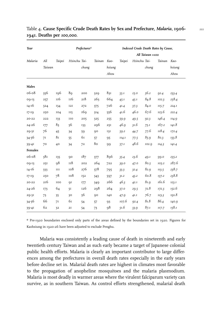| Year      |            |          |              | Prefectures* |        |        |          | Indexed Crude Death Rates by Cause, |                 |        |        |
|-----------|------------|----------|--------------|--------------|--------|--------|----------|-------------------------------------|-----------------|--------|--------|
|           | All        |          |              |              |        |        |          |                                     | All Taiwan =100 |        |        |
| Malaria   |            | Taipei   | Hsinchu Tai- |              | Tainan | Kao-   | Taipei   | Hsinchu Tai-                        |                 | Tainan | Kao-   |
|           | Taiwan     |          |              | chung        |        | hsiung |          |                                     | chung           |        | hsiung |
|           |            |          |              |              |        | Ahou   |          |                                     |                 |        | Ahou   |
| Males     |            |          |              |              |        |        |          |                                     |                 |        |        |
| $06 - 08$ | 356        | 196      | 89           | 200          | 329    | 831    | 55.1     | 25.0                                | 56.2            | 92.4   | 233.4  |
| $09 - 13$ | 257        | 116      | 116          | 218          | 263    | 664    | 45.1     | 45.1                                | 84.8            | 102.3  | 258.4  |
| 14-16     | 324        | 134      | <b>I2I</b>   | 272          | 375    | 726    | 41.4     | 37.3                                | 84.0            | 115.7  | 224.1  |
| $I7-IQ$   | 250        | IO4      | <b>II5</b>   | 169          | 3I4    | 556    | 41.6     | 46.0                                | 67.6            | 125.6  | 222.4  |
| $20 - 22$ | 222        | 133      | IIO          | 205          | 325    | 255    | 59.9     | 49.5                                | 92.3            | 146.4  | 114.9  |
| $24 - 26$ | <b>177</b> | 83       | 56           | 133          | 296    | 25I    | 46.9     | 31.6                                | 75.1            | 167.2  | 141.8  |
| $29 - 31$ | 76         | 45       | 34           | 59           | 90     | 131    | 59.2     | 44.7                                | 77.6            | 118.4  | 172.4  |
| 34-36     | 71         | 81       | 55           | 61           | 57     | 95     | 114.1    | 77.5                                | 85.9            | 80.3   | 133.8  |
| $39 - 41$ | 70         | 40       | 34           | 72           | 80     | 99     | 57.1     | 48.6                                | 102.9           | 114.3  | 141.4  |
| Females   |            |          |              |              |        |        |          |                                     |                 |        |        |
| $06 - 08$ | 38I        | 135      | 90           | 187          | 377    | 896    | $35 - 4$ | 23.6                                | 49.1            | 99.0   | 235.2  |
| $OQ - I3$ | 25I        | $\Omega$ | 118          | 202          | 264    | 722    | 39.0     | 47.0                                | 80.5            | 105.2  | 287.6  |
| 14-16     | 333        | $\;$ I I | 108          | 276          | 378    | 795    | 33.3     | 32.4                                | 82.9            | 113.5  | 238.7  |
| $I7 - I9$ | 250        | 78       | 108          | 152          | 343    | 597    | 31.2     | 43.2                                | 60.8            | 137.2  | 238.8  |
| $20 - 22$ | 216        | 100      | QI           | <b>177</b>   | 349    | 266    | 46.3     | 42.1                                | 81.9            | 161.6  | 123.1  |
| $24 - 26$ | 173        | 64       | 5I           | 126          | 298    | 264    | 37.0     | 29.5                                | 72.8            | 172.3  | 152.6  |
| $29 - 31$ | 73         | 35       | 30           | 56           | 90     | 140    | 47.9     | 41.1                                | 76.7            | 123.3  | 191.8  |
| $34 - 36$ | 66         | 71       | 61           | 54           | 57     | 93     | 107.6    | 92.4                                | 81.8            | 86.4   | 140.9  |
| $39 - 41$ | 62         | 32       | 2I           | 54           | 73     | 98     | 51.6     | 33.9                                | 87.1            | 117.7  | 158.1  |

## Table 4. **Cause Specific Crude Death Rates by Sex and Prefecture,** *Malaria***, 1906- 1941. Deaths per** *100,000***.**

**\*** Pre-1920 boundaries enclosed only parts of the areas defined by the boundaries set in 1920. Figures for Kaohsiung in 1920-26 have been adjusted to exclude Penghu.

Malaria was consistently a leading cause of death in nineteenth and early twentieth century Taiwan and as such early became a target of Japanese colonial public health efforts. Malaria is clearly an important contributor to large differences among the prefectures in overall death rates especially in the early years before decline set in. Malarial death rates are highest in climates most favorable to the propagation of anopheline mosquitoes and the malaria plasmodium. Malaria is most deadly in warmer areas where the virulent falciparum variety can survive, as in southern Taiwan. As control efforts strengthened, malarial death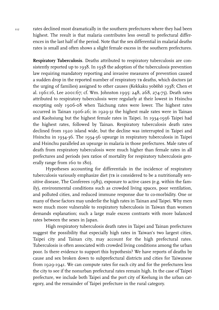*112* rates declined most dramatically in the southern prefectures where they had been highest. The result is that malaria contributes less overall to prefectural differences in the last half of the period. Note that the sex differential in malarial deaths rates is small and often shows a slight female excess in the southern prefectures.

**Respiratory Tuberculosis**. Deaths attributed to respiratory tuberculosis are consistently reported up to 1938. In 1938 the adoption of the tuberculosis prevention law requiring mandatory reporting and invasive measures of prevention caused a sudden drop in the reported number of respiratory TB deaths, which doctors (at the urging of families) assigned to other causes (Kekkaku yobōhō 1938; Chen et al. 1961:16, Lee 2001:67; cf. Wm. Johnston 1995: 248, 268, 274-75). Death rates attributed to respiratory tuberculosis were regularly at their lowest in Hsinchu excepting only 1906-08 when Taichung rates were lower. The highest rates occurred in Tainan 1906-26; in 1929-31 the highest male rates were in Tainan and Kaohsiung but the highest female rates in Taipei. In 1934-1936 Taipei had the highest rates, followed by Tainan. Respiratory tuberculosis death rates declined from 1920 island wide, but the decline was interrupted in Taipei and Hsinchu in 1934-36. The 1934-36 upsurge in respiratory tuberculosis in Taipei and Hsinchu paralleled an upsurge in malaria in those prefectures. Male rates of death from respiratory tuberculosis were much higher than female rates in all prefectures and periods (sex ratios of mortality for respiratory tuberculosis generally range from 160 to 180).

Hypotheses accounting for differentials in the incidence of respiratory tuberculosis variously emphasize diet (TB is considered to be a nutritionally sensitive disease, The Conferees 1985), exposure to active cases (e.g. within the family), environmental conditions such as crowded living spaces, poor ventilation, and polluted cities, and reduced immune response due to co-morbidity. One or many of these factors may underlie the high rates in Tainan and Taipei. Why men were much more vulnerable to respiratory tuberculosis in Taiwan than women demands explanation; such a large male excess contrasts with more balanced rates between the sexes in Japan.

High respiratory tuberculosis death rates in Taipei and Tainan prefectures suggest the possibility that especially high rates in Taiwan's two largest cities, Taipei city and Tainan city, may account for the high prefectural rates. Tuberculosis is often associated with crowded living conditions among the urban poor. Is there evidence to support this hypothesis? We have reports of deaths by cause and sex broken down to subprefectural districts and cities for Taiwanese from 1929-1941. We can compute rates for each city and for the prefectures less the city to see if the nonurban prefectural rates remain high. In the case of Taipei prefecture, we include both Taipei and the port city of Keelung in the urban category, and the remainder of Taipei prefecture in the rural category.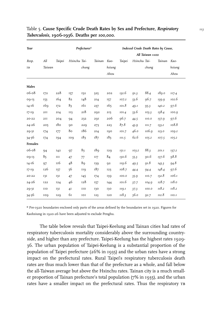| Year       |            |            |                | Prefectures* |            |                |        | Indexed Crude Death Rates by Cause, |                 |        |        |
|------------|------------|------------|----------------|--------------|------------|----------------|--------|-------------------------------------|-----------------|--------|--------|
|            |            |            |                |              |            |                |        |                                     | All Taiwan =100 |        |        |
| Resp.      | All        | Taipei     | Hsinchu Tai-   |              | Tainan     | Kao-           | Taipei | Hsinchu Tai-                        |                 | Tainan | Kao-   |
| $T\cal{B}$ | Taiwan     |            |                | chung        |            | hsiung         |        |                                     | chung           |        | hsiung |
|            |            |            |                |              |            | Ahou           |        |                                     |                 |        | Ahou   |
| Males      |            |            |                |              |            |                |        |                                     |                 |        |        |
| $06 - 08$  | <b>172</b> | 228        | 157            | 152          | 325        | 202            | 132.6  | 91.3                                | 88.4            | 189.0  | 117.4  |
| $OQ - I3$  | 153        | 164        | 82             | 148          | 2I4        | 157            | 107.2  | 53.6                                | 96.7            | 139.9  | 102.6  |
| 14-16      | 169        | <b>172</b> | 83             | 161          | 237        | 165            | 101.8  | 49.1                                | 95.3            | 140.2  | 97.6   |
| $I7 - I9$  | 2II        | 214        | II3            | 218          | 292        | 213            | 101.4  | 53.6                                | 103.3           | 138.4  | 100.9  |
| $20 - 22$  | 2II        | 204        | 94             | 232          | 291        | 206            | 96.7   | 44.5                                | 110.0           | 137.9  | 97.6   |
| $24 - 26$  | 205        | 180        | QQ             | 229          | 273        | 223            | 87.8   | 43.9                                | 111.7           | 133.2  | 108.8  |
| $29 - 31$  | 174        | 177        | 80             | 186          | 2I4        | 190            | 101.7  | 46.0                                | 106.9           | 123.0  | 109.2  |
| $34 - 36$  | 174        | 194        | 109            | 183          | 187        | 183            | 111.5  | 62.6                                | 105.2           | 107.5  | 105.2  |
| Females    |            |            |                |              |            |                |        |                                     |                 |        |        |
| $06 - 08$  | 94         | I42        | 97             | 83           | 189        | 129            | 151.1  | 103.2                               | 88.3            | 201.1  | 137.2  |
| $09 - 13$  | 85         | $\;$ III   | 47             | 77           | II7        | 84             | 130.6  | 55.3                                | 90.6            | 137.6  | 08.8   |
| 14-16      | 97         | 116        | 48             | 89           | 139        | Q <sub>2</sub> | 119.6  | 49.5                                | 91.8            | 143.3  | 94.8   |
| $I7 - I9$  | 126        | 137        | 56             | IIQ          | 187        | 123            | 108.7  | 44.4                                | 94.4            | 148.4  | 97.6   |
| $20 - 22$  | 131        | 131        | 47             | 145          | <b>174</b> | 139            | 100.0  | 35.9                                | 110.7           | 132.8  | 106.1  |
| $24 - 26$  | <b>I22</b> | <b>I24</b> | 46             | 128          | 157        | 144            | 101.6  | 37.7                                | 104.9           | 128.7  | 118.0  |
| $29 - 31$  | IIO        | 131        | 4 <sub>I</sub> | IIO          | 130        | 130            | 119.1  | 37.3                                | 100.0           | 118.2  | 118.2  |
| $34 - 36$  | IOQ        | 129        | 61             | IOI          | 123        | 120            | 118.3  | 56.0                                | 92.7            | 112.8  | 110.1  |

# Table 5. **Cause Specific Crude Death Rates by Sex and Prefecture,** *Respiratory Tuberculosis***, 1906-1936. Deaths per** *100,000***.**

**\*** Pre-1920 boundaries enclosed only parts of the areas defined by the boundaries set in 1920. Figures for Kaohsiung in 1920-26 have been adjusted to exclude Penghu.

The table below reveals that Taipei-Keelung and Tainan cities had rates of respiratory tuberculosis mortality considerably above the surrounding countryside, and higher than any prefecture. Taipei-Keelung has the highest rates 1929- 36. The urban population of Taipei-Keelung is a substantial proportion of the population of Taipei prefecture (26% in 1935) and the urban rates have a strong impact on the prefectural rates. Rural Taipei's respiratory tuberculosis death rates are thus much lower than that of the prefecture as a whole, and fall below the all-Taiwan average but above the Hsinchu rates. Tainan city is a much smaller proportion of Tainan prefecture's total population (7% in 1935), and the urban rates have a smaller impact on the prefectural rates. Thus the respiratory TB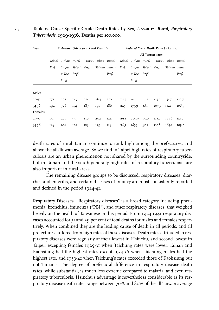| Year      |        |             |        | Prefecture, Urban and Rural Districts |                    |               |        | Indexed Crude Death Rates by Cause, |                 |                                |       |               |
|-----------|--------|-------------|--------|---------------------------------------|--------------------|---------------|--------|-------------------------------------|-----------------|--------------------------------|-------|---------------|
|           |        |             |        |                                       |                    |               |        |                                     | All Taiwan =100 |                                |       |               |
|           | Taipei | Urban Rural |        |                                       | Tainan Urban Rural |               | Taipei |                                     |                 | Urban Rural Tainan Urban Rural |       |               |
|           | Pref   | Taipei      | Taipei | Pref.                                 |                    | Tainan Tainan | Pref.  | Taipei                              | Taipei          | Pref.                          |       | Tainan Tainan |
|           |        | & Kee-Pref. |        |                                       |                    | Pref.         |        | & Kee-Pref.                         |                 |                                |       | Pref.         |
|           |        | lung        |        |                                       |                    |               |        | lung                                |                 |                                |       |               |
|           |        |             |        |                                       |                    |               |        |                                     |                 |                                |       |               |
| Males     |        |             |        |                                       |                    |               |        |                                     |                 |                                |       |               |
| $29 - 31$ | I77    | 282         | 143    | 214                                   | 264                | 210           | 101.7  | 162.1                               | 82.2            | 123.0                          | 151.7 | 120.7         |
| $34 - 36$ | 194    | 306         | 154    | 187                                   | 195                | 186           | 111.5  | 175.9                               | 88.5            | 107.5                          | 112.1 | 106.9         |
| Females   |        |             |        |                                       |                    |               |        |                                     |                 |                                |       |               |
| $29 - 31$ | 131    | 22I         | 99     | 130                                   | 202                | 124           | 119.1  | 200.9                               | 90.0            | 118.2                          | 183.6 | 112.7         |
| $34 - 36$ | 129    | 202         | IOI    | 123                                   | 179                | IIQ           | 118.3  | 185.3                               | 92.7            | 112.8                          | 164.2 | 100.2         |

Table 6. **Cause Specific Crude Death Rates by Sex,** *Urban vs. Rural, Respiratory Tuberculosis***, 1929-1936. Deaths per** *100,000***.**

death rates of rural Tainan continue to rank high among the prefectures, and above the all-Taiwan average. So we find in Taipei high rates of respiratory tuberculosis are an urban phenomenon not shared by the surrounding countryside, but in Tainan and the south generally high rates of respiratory tuberculosis are also important in rural areas.

The remaining disease groups to be discussed, respiratory diseases, diarrhea and enteritis, and certain diseases of infancy are most consistently reported and defined in the period 1924-41.

**Respiratory Diseases**. "Respiratory diseases" is a broad category including pneumonia, bronchitis, influenza ("PBI"), and other respiratory diseases, that weighed heavily on the health of Taiwanese in this period. From 1924-1941 respiratory diseases accounted for 31 and 29 per cent of total deaths for males and females respectively. When combined they are the leading cause of death in all periods, and all prefectures suffered from high rates of these diseases. Death rates attributed to respiratory diseases were regularly at their lowest in Hsinchu, and second lowest in Taipei, excepting females 1929-31 when Taichung rates were lower. Tainan and Kaohsiung had the highest rates except 1934-36 when Taichung males had the highest rate, and 1939-41 when Taichung's rates exceeded those of Kaohsiung but not Tainan's. The degree of prefectural difference in respiratory disease death rates, while substantial, is much less extreme compared to malaria, and even respiratory tuberculosis. Hsinchu's advantage is nevertheless considerable as its respiratory disease death rates range between 70% and 80% of the all-Taiwan average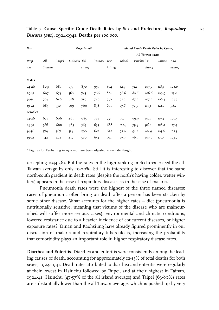| Year      |        |        |              | Prefectures* |        |        |        | Indexed Crude Death Rates by Cause, | All Taiwan =100 |        |        |
|-----------|--------|--------|--------------|--------------|--------|--------|--------|-------------------------------------|-----------------|--------|--------|
| Resp.     | All    | Taipei | Hsinchu Tai- |              | Tainan | Kao-   | Taipei | Hsinchu Tai-                        |                 | Tainan | Kao-   |
| PBI       | Taiwan |        |              | chung        |        | hsiung |        |                                     | chung           |        | hsiung |
| Males     |        |        |              |              |        |        |        |                                     |                 |        |        |
| $24 - 26$ | 809    | 687    | 575          | 870          | 957    | 874    | 84.9   | 71.1                                | 107.5           | 118.3  | 108.0  |
| $29 - 31$ | 697    | 673    | 562          | 743          | 766    | 804    | 96.6   | 80.6                                | 106.6           | 109.9  | 115.4  |
| $34 - 36$ | 704    | 648    | 618          | 759          | 749    | 730    | 92.0   | 87.8                                | 107.8           | 106.4  | 103.7  |
| $39 - 41$ | 683    | 530    | 509          | 760          | 838    | 671    | 77.6   | 74.5                                | 111.3           | 122.7  | 98.2   |
| Females   |        |        |              |              |        |        |        |                                     |                 |        |        |
| $24 - 26$ | 671    | 606    | 469          | 685          | 788    | 735    | 90.3   | 69.9                                | 102.1           | 117.4  | 109.5  |
| $29 - 31$ | 586    | 600    | 465          | 563          | 633    | 688    | 102.4  | 79.4                                | 96.1            | 108.0  | 117.4  |
| $34 - 36$ | 579    | 567    | 534          | 590          | 601    | 621    | 97.9   | 92.2                                | 101.9           | 103.8  | 107.3  |
| $39 - 41$ | 542    | 422    | 417          | 580          | 653    | 561    | 77.9   | 76.9                                | 107.0           | 120.5  | 103.5  |

Table 7. **Cause Specific Crude Death Rates by Sex and Prefecture,** *Respiratory Diseases (pbi)***, 1924-1941. Deaths per** *100,000***.**

**\*** Figures for Kaohsiung in 1924-26 have been adjusted to exclude Penghu.

(excepting 1934-36). But the rates in the high ranking prefectures exceed the all-Taiwan average by only 10-20%. Still it is interesting to discover that the same north-south gradient in death rates (despite the north's having colder, wetter winters) appears in the case of respiratory diseases as in the case of malaria.

Pneumonia death rates were the highest of the three named diseases; cases of pneumonia often bring on death after a person has been stricken by some other disease. What accounts for the higher rates – diet (pneumonia is nutritionally sensitive, meaning that victims of the disease who are malnourished will suffer more serious cases), environmental and climatic conditions, lowered resistance due to a heavier incidence of concurrent diseases, or higher exposure rates? Tainan and Kaohsiung have already figured prominently in our discussion of malaria and respiratory tuberculosis, increasing the probability that comorbidity plays an important role in higher respiratory disease rates.

**Diarrhea and Enteritis**. Diarrhea and enteritis were consistently among the leading causes of death, accounting for approximately 12-15% of total deaths for both sexes, 1924-1941. Death rates attributed to diarrhea and enteritis were regularly at their lowest in Hsinchu followed by Taipei, and at their highest in Tainan, 1924-41. Hsinchu (47-57% of the all island average) and Taipei (63-80%) rates are substantially lower than the all Taiwan average, which is pushed up by very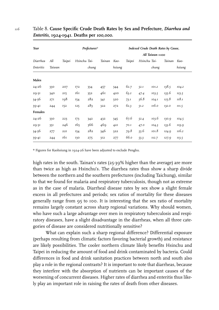| Year      |        |        |              | Prefectures* |        |        |        | Indexed Crude Death Rates by Cause, |                 |        |        |
|-----------|--------|--------|--------------|--------------|--------|--------|--------|-------------------------------------|-----------------|--------|--------|
|           |        |        |              |              |        |        |        |                                     | All Taiwan =100 |        |        |
| Diarrhea  | All    | Taipei | Hsinchu Tai- |              | Tainan | Kao-   | Taipei | Hsinchu Tai-                        |                 | Tainan | Kao-   |
| Enteritis | Taiwan |        |              | chung        |        | hsiung |        |                                     | chung           |        | hsiung |
|           |        |        |              |              |        |        |        |                                     |                 |        |        |
| Males     |        |        |              |              |        |        |        |                                     |                 |        |        |
| $24 - 26$ | 330    | 207    | I72          | 334          | 457    | 344    | 62.7   | 52.1                                | 101.2           | 138.5  | 104.2  |
| $29 - 31$ | 340    | 215    | 161          | 352          | 461    | 420    | 63.2   | 47.4                                | 103.5           | 135.6  | 123.5  |
| $34 - 36$ | 27I    | 198    | 154          | 282          | 34I    | 320    | 73.1   | 56.8                                | 104.1           | 125.8  | 118.1  |
| $39 - 41$ | 244    | 152    | 125          | 283          | 322    | 272    | 62.3   | 51.2                                | 116.0           | 132.0  | 111.5  |
| Females   |        |        |              |              |        |        |        |                                     |                 |        |        |
| $24 - 26$ | 330    | 223    | 173          | 342          | 432    | 345    | 67.6   | 52.4                                | 103.6           | 130.9  | 104.5  |
| $29 - 31$ | 35I    | 246    | 165          | 366          | 469    | 421    | 70.1   | 47.0                                | 104.3           | 133.6  | 119.9  |
| 34-36     | 277    | 22I    | 154          | 282          | 346    | 322    | 79.8   | 55.6                                | 101.8           | 124.9  | 116.2  |
| $39 - 41$ | 244    | 161    | 130          | 275          | 3I2    | 277    | 66.0   | 53.3                                | 112.7           | 127.9  | 113.5  |

Table 8. **Cause Specific Crude Death Rates by Sex and Prefecture,** *Diarrhea and Enteritis***, 1924-1941. Deaths per** *100,000***.**

**\*** Figures for Kaohsiung in 1924-26 have been adjusted to exclude Penghu.

high rates in the south. Tainan's rates (25-39% higher than the average) are more than twice as high as Hsinchu's. The diarrhea rates thus show a sharp divide between the northern and the southern prefectures (including Taichung), similar to that we found for malaria and respiratory tuberculosis, though not as extreme as in the case of malaria. Diarrheal disease rates by sex show a slight female excess in all prefectures and periods; sex ratios of mortality for these diseases generally range from 95 to 100. It is interesting that the sex ratio of mortality remains largely constant across sharp regional variations. Why should women, who have such a large advantage over men in respiratory tuberculosis and respiratory diseases, have a slight disadvantage in the diarrheas, when all three categories of disease are considered nutritionally sensitive?

What can explain such a sharp regional difference? Differential exposure (perhaps resulting from climatic factors favoring bacterial growth) and resistance are likely possibilities. The cooler northern climate likely benefits Hsinchu and Taipei in reducing the amount of food and drink contaminated by bacteria. Could differences in food and drink sanitation practices between north and south also play a role in the regional contrasts? It is important to note that diarrheas, because they interfere with the absorption of nutrients can be important causes of the worsening of concurrent diseases. Higher rates of diarrhea and enteritis thus likely play an important role in raising the rates of death from other diseases.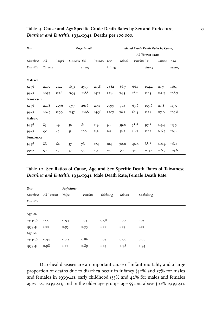| Year                  |                |        |              | Prefectures* |            |                |        | Indexed Crude Death Rates by Cause, | All Taiwan =100 |              |                |
|-----------------------|----------------|--------|--------------|--------------|------------|----------------|--------|-------------------------------------|-----------------|--------------|----------------|
| Diarrhea<br>Enteritis | All<br>Taiwan  | Taipei | Hsinchu Tai- | chung        | Tainan     | Kao-<br>hsiung | Taipei | Hsinchu Tai-                        | chung           | Tainan       | Kao-<br>hsiung |
|                       |                |        |              |              |            |                |        |                                     |                 |              |                |
| Males<2               |                |        |              |              |            |                |        |                                     |                 |              |                |
| $34 - 36$             | 2470           | 2142   | 1633         | 2573         | 2758       | 2882           | 86.7   | 66.1                                | 104.2           | III.7        | 116.7          |
| $39 - 41$             | 2055           | 1526   | II94         | 2288         | 2517       | 2234           | 74.3   | 58.1                                | III.3           | 122.5        | 108.7          |
| Females<2             |                |        |              |              |            |                |        |                                     |                 |              |                |
| $34 - 36$             | 2478           | 2276   | 1577         | 2616         | 277I       | 2799           | 91.8   | 63.6                                | 105.6           | 111.8        | 113.0          |
| $39 - 41$             | 2047           | 1599   | 1257         | 2298         | 2396       | 2207           | 78.1   | 61.4                                | II2.3           | <b>II7.0</b> | 107.8          |
| Males>2               |                |        |              |              |            |                |        |                                     |                 |              |                |
| $34 - 36$             | 83             | 49     | 32           | 81           | <b>II9</b> | 94             | 59.0   | 38.6                                | 97.6            | 143.4        | II3.3          |
| $39 - 41$             | 90             | 47     | 33           | 100          | 132        | IO3            | 52.2   | 36.7                                | III.I           | 146.7        | II4.4          |
| Females>2             |                |        |              |              |            |                |        |                                     |                 |              |                |
| $34 - 36$             | 88             | 62     | 37           | 78           | 124        | IO4            | 70.0   | 42.0                                | 88.6            | 140.9        | 118.2          |
| $39 - 41$             | Q <sub>2</sub> | 47     | 37           | 96           | 135        | <b>IIO</b>     | 5I.I   | 40.2                                | IO4.3           | 146.7        | 119.6          |

# Table 9. **Cause and** *Age* **Specific Crude Death Rates by Sex and Prefecture,** *Diarrhea and Enteritis***, 1934-1941. Deaths per** *100,000***.**

Table 10. **Sex Ratios of Cause, Age and Sex Specific Death Rates of Taiwanese,** *Diarrhea and Enteritis***, 1934-1941. Male Death Rate/Female Death Rate.**

| Year<br>Diarrhea<br>Enteritis | All Taiwan  | Prefectures<br>Taipei | Hsinchu | Taichung | Tainan | Kaohsiung |
|-------------------------------|-------------|-----------------------|---------|----------|--------|-----------|
| Age $<$ 2                     |             |                       |         |          |        |           |
| 1934-36                       | 1.00        | 0.94                  | I.04    | 0.98     | 1.00   | I.03      |
| 1939-41                       | <b>I.OO</b> | 0.95                  | 0.95    | I.00     | I.05   | I.OI      |
| Age > 2                       |             |                       |         |          |        |           |
| 1934-36                       | 0.94        | 0.79                  | 0.86    | I.04     | 0.96   | 0.90      |
| 1939-41                       | 0.98        | 1.00                  | 0.89    | I.04     | 0.98   | 0.94      |

Diarrheal diseases are an important cause of infant mortality and a large proportion of deaths due to diarrhea occur in infancy (42% and 37% for males and females in 1939-41), early childhood (35% and 42% for males and females ages 1-4, 1939-41), and in the older age groups age 55 and above (10% 1939-41).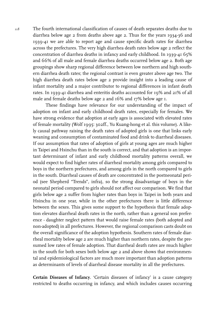*118* The fourth international classification of causes of death separates deaths due to diarrhea below age 2 from deaths above age 2. Thus for the years 1934-36 and 1939-41 we are able to report age and cause specific death rates for diarrhea across the prefectures. The very high diarrhea death rates below age 2 reflect the concentration of diarrhea deaths in infancy and early childhood. In 1939-41 65% and 66% of all male and female diarrhea deaths occurred below age 2. Both age groupings show sharp regional difference between low northern and high southern diarrhea death rates; the regional contrast is even greater above age two. The high diarrhea death rates below age 2 provide insight into a leading cause of infant mortality and a major contributor to regional differences in infant death rates. In 1939-41 diarrhea and enteritis deaths accounted for 19% and 21% of all male and female deaths below age 2 and 16% and 17% below age 1.

> These findings have relevance for our understanding of the impact of adoption on infant and early childhood death rates, especially for females. We have strong evidence that adoption at early ages is associated with elevated rates of female mortality (Wolf 1995: 302ff., Yu Kuang-hong et al. this volume). A likely causal pathway raising the death rates of adopted girls is one that links early weaning and consumption of contaminated food and drink to diarrheal diseases. If our assumption that rates of adoption of girls at young ages are much higher in Taipei and Hsinchu than in the south is correct, and that adoption is an important determinant of infant and early childhood mortality patterns overall, we would expect to find higher rates of diarrheal mortality among girls compared to boys in the northern prefectures, and among girls in the north compared to girls in the south. Diarrheal causes of death are concentrated in the postneonatal period (see Shepherd "Trends", infra), so the strong disadvantage of boys in the neonatal period compared to girls should not affect our comparison. We find that girls below age 2 suffer from higher rates than boys in Taipei in both years and Hsinchu in one year, while in the other prefectures there is little difference between the sexes. This gives some support to the hypothesis that female adoption elevates diarrheal death rates in the north, rather than a general son preference - daughter neglect pattern that would raise female rates (both adopted and non-adopted) in all prefectures. However, the regional comparison casts doubt on the overall significance of the adoption hypothesis. Southern rates of female diarrheal mortality below age 2 are much higher than northern rates, despite the presumed low rates of female adoption. That diarrheal death rates are much higher in the south for both sexes both below age 2 and above shows that environmental and epidemiological factors are much more important than adoption patterns as determinants of levels of diarrheal disease mortality in all the prefectures.

> **Certain Diseases of Infancy**. 'Certain diseases of infancy' is a cause category restricted to deaths occurring in infancy, and which includes causes occurring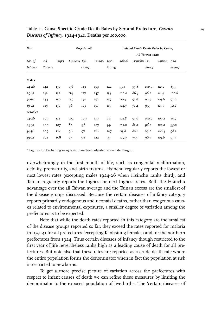| Year      | Prefectures* |            |                 |       |        | Indexed Crude Death Rates by Cause,<br>All Taiwan =100 |        |              |       |        |        |
|-----------|--------------|------------|-----------------|-------|--------|--------------------------------------------------------|--------|--------------|-------|--------|--------|
| Dis. of   | All          | Taipei     | Hsinchu Tai-    |       | Tainan | Kao-                                                   | Taipei | Hsinchu Tai- |       | Tainan | Kao-   |
| Infancy   | Taiwan       |            |                 | chung |        | hsiung                                                 |        |              | chung |        | hsiung |
| Males     |              |            |                 |       |        |                                                        |        |              |       |        |        |
| $24 - 26$ | I42          | 135        | 136             | I43   | 159    | <b>I22</b>                                             | 95.1   | 95.8         | 100.7 | 112.0  | 85.9   |
| $29 - 31$ | 132          | 132        | II4             | 127   | 147    | 133                                                    | 100.0  | 86.4         | 96.2  | 111.4  | 100.8  |
| $34 - 36$ | 144          | 159        | 135             | 130   | 152    | 135                                                    | 110.4  | 93.8         | 90.3  | 105.6  | 93.8   |
| $39 - 41$ | 129          | 135        | 96              | 123   | 157    | II9                                                    | 104.7  | 74.4         | 95.3  | 121.7  | 92.2   |
| Females   |              |            |                 |       |        |                                                        |        |              |       |        |        |
| $24 - 26$ | IO9          | <b>II2</b> | IO <sub>2</sub> | IOQ   | IIQ    | 88                                                     | 102.8  | 93.6         | 100.0 | 109.2  | 80.7   |
| $29 - 31$ | IOO          | 107        | 82              | 96    | 107    | 99                                                     | 107.0  | 82.0         | 96.0  | 107.0  | 99.0   |
| $34 - 36$ | 109          | 124        | 96              | 97    | 116    | 107                                                    | 113.8  | 88.1         | 89.0  | 106.4  | 08.2   |
| $39 - 41$ | 102          | 108        | 77              | 98    | 122    | 95                                                     | 105.9  | 75.5         | 96.1  | 119.6  | 93.1   |

Table 11. **Cause Specific Crude Death Rates by Sex and Prefecture,** *Certain Diseases of Infancy***, 1924-1941. Deaths per** *100,000***.**

**\*** Figures for Kaohsiung in 1924-26 have been adjusted to exclude Penghu.

overwhelmingly in the first month of life, such as congenital malformation, debility, prematurity, and birth trauma. Hsinchu regularly reports the lowest or next lowest rates (excepting males 1924-26 when Hsinchu ranks third), and Tainan regularly reports the highest or next highest rates. Both the Hsinchu advantage over the all Taiwan average and the Tainan excess are the smallest of the disease groups discussed. Because the certain diseases of infancy category reports primarily endogenous and neonatal deaths, rather than exogenous causes related to environmental exposures, a smaller degree of variation among the prefectures is to be expected.

Note that while the death rates reported in this category are the smallest of the disease groups reported so far, they exceed the rates reported for malaria in 1931-41 for all prefectures (excepting Kaohsiung females) and for the northern prefectures from 1924. Thus certain diseases of infancy though restricted to the first year of life nevertheless ranks high as a leading cause of death for all prefectures. But note also that these rates are reported as a crude death rate where the entire population forms the denominator when in fact the population at risk is restricted to newborns.

To get a more precise picture of variation across the prefectures with respect to infant causes of death we can refine these measures by limiting the denominator to the exposed population of live births. The 'certain diseases of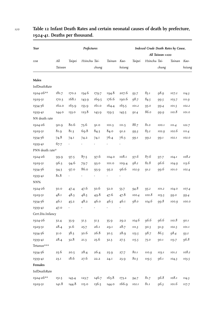| Year             |        |        | Prefectures  |       |        | Indexed Crude Death Rates by Cause, |        |              |                 |        |        |
|------------------|--------|--------|--------------|-------|--------|-------------------------------------|--------|--------------|-----------------|--------|--------|
|                  |        |        |              |       |        |                                     |        |              | All Taiwan =100 |        |        |
| <b>IDR</b>       | All    | Taipei | Hsinchu Tai- |       | Tainan | Kao-                                | Taipei | Hsinchu Tai- |                 | Tainan | Kao-   |
|                  | Taiwan |        |              | chung |        | hsiung                              |        |              | chung           |        | hsiung |
|                  |        |        |              |       |        |                                     |        |              |                 |        |        |
| Males            |        |        |              |       |        |                                     |        |              |                 |        |        |
| InfDeathRate     |        |        |              |       |        |                                     |        |              |                 |        |        |
| 1924-26**        | 181.7  | 170.2  | 154.6        | 179.7 | 194.8  | 207.6                               | 93.7   | 85.1         | 98.9            | 107.2  | 114.3  |
| 1929-31          | 170.3  | 168.1  | 143.9        | 169.5 | 176.6  | 190.6                               | 98.7   | 84.5         | 99.5            | 103.7  | 111.9  |
| 1934-36          | 162.0  | 163.9  | 153.9        | 161.0 | 164.4  | 165.5                               | 101.2  | 95.0         | 99.4            | 101.5  | 102.2  |
| 1939-41          | 144.0  | 133.0  | 123.8        | 143.9 | 159.5  | 145.5                               | 92.4   | 86.o         | 99.9            | 110.8  | 101.0  |
| NN death rate    |        |        |              |       |        |                                     |        |              |                 |        |        |
| 1924-26          | 90.9   | 80.6   | 73.6         | QI.0  | 101.3  | III.5                               | 88.7   | 81.0         | 100.1           | 111.4  | 122.7  |
| 1929-31          | 81.9   | 81.3   | 69.8         | 84.3  | 84.0   | QI.2                                | 99.3   | 85.2         | 102.9           | 102.6  | 111.4  |
| 1934-36          | 74.8   | 74.1   | 74.2         | 74.1  | 76.4   | 76.3                                | 99.1   | 99.2         | 99.1            | 102.1  | 102.0  |
| 1939-41          | 67.7   |        |              |       |        |                                     |        |              |                 |        |        |
| PNN death rate*  |        |        |              |       |        |                                     |        |              |                 |        |        |
| 1924-26          | 99.9   | 97.5   | 87.5         | 97.6  | 104.0  | 108.1                               | 97.6   | 87.6         | 97.7            | 104.1  | 108.2  |
| 1929-31          | 96.3   | 94.6   | 79.7         | 93.0  | 101.0  | 109.4                               | 98.2   | 82.8         | 96.6            | 104.9  | 113.6  |
| 1934-36          | 94.3   | 97.0   | 86.0         | 93.9  | 95.2   | 96.6                                | 102.9  | 91.2         | 99.6            | 101.0  | 102.4  |
| 1939-41          | 81.8   |        |              |       |        |                                     |        |              |                 |        |        |
| NN%              |        |        |              |       |        |                                     |        |              |                 |        |        |
| 1924-26          | 50.0   | 47.4   | 47.6         | 50.6  | 52.0   | 53.7                                | 94.8   | 95.2         | 101.2           | 104.0  | 107.4  |
| 1929-31          | 48.1   | 48.3   | 48.5         | 49.8  | 47.6   | 47.8                                | 100.4  | 100.8        | 103.5           | 99.0   | 99.4   |
| 1934-36          | 46.1   | 45.2   | 48.2         | 46.0  | 46.5   | 46.1                                | 98.0   | 104.6        | 99.8            | 100.9  | 100.0  |
| 1939-41          | 47.0   |        |              |       |        |                                     |        |              |                 |        |        |
| Cert.Dis.Infancy |        |        |              |       |        |                                     |        |              |                 |        |        |
| 1924-26          | 32.4   | 33.9   | 31.3         | 31.3  | 35.9   | 29.2                                | 104.6  | 96.6         | 96.6            | 110.8  | 90.1   |
| 1929-31          | 28.4   | 31.6   | 25.7         | 26.1  | 29.1   | 28.7                                | 111.3  | 90.5         | 91.9            | 102.5  | 101.1  |
| 1934-36          | 3I.0   | 38.3   | 30.6         | 26.8  | 30.5   | 28.9                                | 123.5  | 98.7         | 86.5            | 98.4   | 93.2   |
| 1939-41          | 28.4   | 32.8   | 2I.3         | 25.6  | 32.3   | 27.5                                | 115.5  | 75.0         | 90.1            | 113.7  | 96.8   |
| Tetanus***       |        |        |              |       |        |                                     |        |              |                 |        |        |
| 1934-36          | 25.6   | 20.5   | 28.4         | 26.4  | 25.9   | 27.7                                | 80.1   | 110.9        | 103.1           | 101.2  | 108.2  |
| 1939-41          | 23.1   | 18.6   | 27.6         | 22.2  | 24.1   | 23.9                                | 80.5   | 119.5        | 96.1            | 104.3  | 103.5  |
| Females          |        |        |              |       |        |                                     |        |              |                 |        |        |
| InfDeathRate     |        |        |              |       |        |                                     |        |              |                 |        |        |
| 1924-26**        | 151.5  | 143.4  | 123.7        | 146.7 | 163.8  | 173.2                               | 94.7   | 81.7         | 96.8            | 108.1  | 114.3  |
| 1929-31          | 141.8  | 144.8  | 115.0        | 136.5 | 144.0  | 166.9                               | 102.1  | 81.1         | 96.3            | 101.6  | 117.7  |

# *120* **Table 12 Infant Death Rates and certain neonatal causes of death by prefecture, 1924-41. Deaths per thousand.**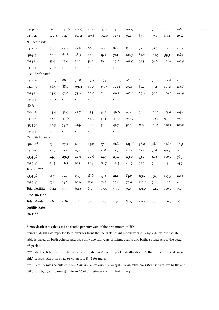| 1934-36                | 135.6  | 143.6 | 123.5 | 129.2          | 137.2 | 143.7 | 105.9 | 91.1  | 95.3  | 101.2 | 106.0 | 121 |
|------------------------|--------|-------|-------|----------------|-------|-------|-------|-------|-------|-------|-------|-----|
| 1939-41                | 120.8  | III.3 | IOI.4 | II7.8          | 134.6 | 127.1 | 92.1  | 83.9  | 97.5  | 111.4 | 105.2 |     |
| NN death rate          |        |       |       |                |       |       |       |       |       |       |       |     |
| 1924-26                | 67.3   | 60.1  | 52.8  | 66.5           | 75.5  | 81.1  | 89.3  | 78.5  | 98.8  | 112.2 | 120.5 |     |
| 1929-31                | 60.1   | 61.6  | 48.5  | 60.4           | 59.7  | 71.1  | 102.5 | 80.7  | 100.5 | 99.3  | 118.3 |     |
| 1934-36                | $55-4$ | 57.0  | 51.8  | 53.5           | 56.4  | 59.8  | 102.9 | 93.5  | 96.6  | 101.8 | 107.9 |     |
| 1939-41                | 52.0   |       |       |                |       |       |       |       |       |       |       |     |
| PNN death rate*        |        |       |       |                |       |       |       |       |       |       |       |     |
| 1924-26                | 90.3   | 88.7  | 74.8  | 85.9           | 95.5  | 100.3 | 98.2  | 82.8  | 95.1  | 105.8 | 111.1 |     |
| 1929-31                | 86.9   | 88.7  | 69.9  | 81.0           | 89.7  | 103.1 | 102.1 | 80.4  | 93.2  | 103.2 | 118.6 |     |
| 1934-36                | 84.9   | QI.8  | 75.6  | 80.0           | 85.6  | 89.1  | 108.1 | 80.0  | 94.2  | 100.8 | 104.9 |     |
| 1939-41                | 72.6   |       |       |                |       |       |       |       |       |       |       |     |
| NN%                    |        |       |       |                |       |       |       |       |       |       |       |     |
| 1924-26                | 44.4   | 41.9  | 42.7  | 45.3           | 46.1  | 46.8  | 94.4  | 96.2  | 102.0 | 103.8 | 105.4 |     |
| 1929-31                | 42.4   | 42.6  | 42.I  | 44.3           | 4I.4  | 42.6  | 100.5 | 99.3  | 104.5 | 97.6  | 100.5 |     |
| 1934-36                | 40.9   | 39.7  | 41.9  | 4I.4           | 41.I  | 41.7  | 97.1  | 102.4 | 101.2 | 100.5 | 102.0 |     |
| 1939-41                | 43.I   |       |       | $\blacksquare$ |       |       |       |       |       |       |       |     |
| Cert.Dis.Infancy       |        |       |       |                |       |       |       |       |       |       |       |     |
| 1924-26                | 25.1   | 27.5  | 24.1  | 24.2           | 27.1  | 21.8  | 109.6 | 96.0  | 96.4  | 108.0 | 86.9  |     |
| 1929-31                | 21.9   | 25.5  | 19.I  | 20.I           | 21.8  | 21.7  | 116.4 | 87.2  | 91.8  | 99.5  | 99.1  |     |
| 1934-36                | 24.3   | 29.9  | 22.6  | 20.6           | 24.3  | 23.4  | 123.0 | 93.0  | 84.8  | 100.0 | 96.3  |     |
| 1939-41                | 23.5   | 26.3  | 18.1  | 2I.4           | 26.7  | 22.5  | 111.9 | 77.0  | 01.1  | 113.6 | 95.7  |     |
| Tetanus***             |        |       |       |                |       |       |       |       |       |       |       |     |
| 1934-36                | 18.7   | 15.7  | 19.3  | 18.6           | 19.8  | 2I.I  | 84.0  | 103.2 | 99.5  | 105.9 | 112.8 |     |
| 1939-41                | 17.3   | 13.8  | 18.9  | 15.8           | 19.2  | 19.6  | 79.8  | 109.2 | 91.3  | 111.0 | 113.3 |     |
| <b>Total Fertility</b> | 6.24   | 5.77  | 6.43  | 6.5            | 6.66  | 5.96  | 92.5  | 103.0 | 104.2 | 106.7 | 95.5  |     |
| Rate, 1941****         |        |       |       |                |       |       |       |       |       |       |       |     |
| <b>Total Marital</b>   | 7.62   | 6.85  | 7.8   | 8.01           | 8.13  | 7.34  | 89.9  | 102.4 | 105.1 | 106.7 | 96.3  |     |
| Fertility Rate,        |        |       |       |                |       |       |       |       |       |       |       |     |
| 1941****               |        |       |       |                |       |       |       |       |       |       |       |     |

\* pnn death rate calculated as deaths per survivors of the first month of life.

\*\*infant death rate reported here diverges from the life table infant mortality rate in 1924-26 where the life table is based on birth cohorts and uses only two full years of infant deaths and births spread across the 1924- 26 period.

\*\*\* Infantile Tetanus for prefectures is estimated as 82% of reported deaths due to "other infectious and parasitic" causes, except in 1934-36 when it is 83% for males.

\*\*\*\* Fertility rates calculated from *Fubo no nenreibetsu shussei oyobi shisan tōkei*, 1941 (Statistics of live births and stillbirths by age of parents). Taiwan Sōtokufu Sōmukyoku. Taihoku 1943.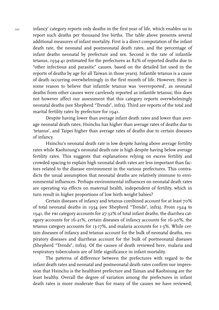*122* infancy' category reports only deaths in the first year of life, which enables us to report such deaths per thousand live births. The table above presents several additional measures of infant mortality. First is a direct computation of the infant death rate, the neonatal and postneonatal death rates, and the percentage of infant deaths neonatal by prefecture and sex. Second is the rate of infantile tetanus, 1934-41 (estimated for the prefectures as 82% of reported deaths due to "other infectious and parasitic" causes, based on the detailed list used in the reports of deaths by age for all Taiwan in those years). Infantile tetanus is a cause of death occurring overwhelmingly in the first month of life. However, there is some reason to believe that infantile tetanus was 'overreported', as neonatal deaths from other causes were carelessly reported as infantile tetanus; this does not however affect our assessment that this category reports overwhelmingly neonatal deaths (see Shepherd "Trends", infra). Third are reports of the total and marital fertility rates by prefecture for 1941.

> Despite having lower than average infant death rates and lower than average neonatal death rates, Hsinchu has higher than average rates of deaths due to 'tetanus', and Taipei higher than average rates of deaths due to certain diseases of infancy.

> Hsinchu's neonatal death rate is low despite having above average fertility rates while Kaohsiung's neonatal death rate is high despite having below average fertility rates. This suggests that explanations relying on excess fertility and crowded spacing to explain high neonatal death rates are less important than factors related to the disease environment in the various prefectures. This contradicts the usual assumption that neonatal deaths are relatively immune to environmental influences. Perhaps environmental influences on neonatal death rates are operating via effects on maternal health, independent of fertility, which in turn result in higher proportions of low birth weight babies?

> Certain diseases of infancy and tetanus combined account for at least 70% of total neonatal deaths in 1934 (see Shepherd "Trends", infra). From 1924 to 1941, the pbi category accounts for 27-32% of total infant deaths, the diarrhea category accounts for 16-21%, certain diseases of infancy accounts for 16-20%, the tetanus category accounts for 13-17%, and malaria accounts for 1-3%. While certain diseases of infancy and tetanus account for the bulk of neonatal deaths, respiratory diseases and diarrheas account for the bulk of postneonatal diseases (Shepherd "Trends", infra). Of the causes of death reviewed here, malaria and respiratory tuberculosis are of little significance in infant mortality.

> The patterns of difference between the prefectures with regard to the infant death rates and neonatal and postneonatal death rates confirm our impression that Hsinchu is the healthiest prefecture and Tainan and Kaohsiung are the least healthy. Overall the degree of variation among the prefectures in infant death rates is more moderate than for many of the causes we have reviewed;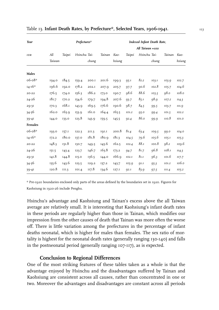| Year       |        |        | Prefectures* |       |        | Indexed Infant Death Rate,<br>All Taiwan =100 |        |              |       |        |        |  |
|------------|--------|--------|--------------|-------|--------|-----------------------------------------------|--------|--------------|-------|--------|--------|--|
| <b>IDR</b> | All    | Taipei | Hsinchu Tai- |       | Tainan | Kao-                                          | Taipei | Hsinchu Tai- |       | Tainan | Kao-   |  |
|            | Taiwan |        |              | chung |        | hsiung                                        |        |              | chung |        | hsiung |  |
| Males      |        |        |              |       |        |                                               |        |              |       |        |        |  |
| $06 - 08*$ | 194.0  | 184.5  | 159.4        | 200.I | 201.6  | 199.3                                         | 95.1   | 82.2         | 103.1 | 103.9  | 102.7  |  |
| $14 - 16*$ | 196.6  | 192.0  | 178.2        | 202.I | 207.9  | 205.7                                         | 97.7   | 90.6         | 102.8 | 105.7  | 104.6  |  |
| $20 - 22$  | 176.5  | 174.0  | 156.3        | 186.2 | 173.0  | 190.7                                         | 98.6   | 88.6         | 105.5 | 98.0   | 108.0  |  |
| $24 - 26$  | 181.7  | 170.2  | 154.6        | 179.7 | 194.8  | 207.6                                         | 93.7   | 85.1         | 98.9  | 107.2  | 114.3  |  |
| $29 - 31$  | 170.3  | 168.1  | 143.9        | 169.5 | 176.6  | 190.6                                         | 98.7   | 84.5         | 99.5  | 103.7  | 111.9  |  |
| $34 - 36$  | 162.0  | 163.9  | 153.9        | 161.0 | 164.4  | 165.5                                         | 101.2  | 95.0         | 99.4  | 101.5  | 102.2  |  |
| $39 - 41$  | 144.0  | 133.0  | 123.8        | 143.9 | 159.5  | 145.5                                         | 92.4   | 86.0         | 99.9  | 110.8  | 101.0  |  |
| Females    |        |        |              |       |        |                                               |        |              |       |        |        |  |
| $06 - 08*$ | 193.0  | 157.1  | 122.3        | 211.3 | 191.1  | 200.8                                         | 81.4   | 63.4         | 109.5 | 99.0   | 104.0  |  |
| $14 - 16*$ | 172.2  | 180.0  | 137.0        | 181.8 | 180.9  | 181.3                                         | 104.5  | 79.6         | 105.6 | 105.1  | 105.3  |  |
| $20 - 22$  | 148.3  | 151.8  | 130.7        | 149.5 | 145.6  | 162.5                                         | 102.4  | 88.1         | 100.8 | 08.2   | 109.6  |  |
| $24 - 26$  | 151.5  | 143.4  | 123.7        | 146.7 | 163.8  | 173.2                                         | 94.7   | 81.7         | 96.8  | 108.1  | 114.3  |  |
| $29 - 31$  | 141.8  | 144.8  | <b>II5.0</b> | 136.5 | 144.0  | 166.9                                         | 102.1  | 81.1         | 96.3  | 101.6  | 117.7  |  |
| $34 - 36$  | 135.6  | 143.6  | 123.5        | 129.2 | 137.2  | 143.7                                         | 105.9  | Q1.1         | 95.3  | 101.2  | 106.0  |  |
| $39 - 41$  | 120.8  | III.3  | 101.4        | 117.8 | 134.6  | 127.I                                         | Q2.1   | 83.9         | 97.5  | 111.4  | 105.2  |  |

#### Table 13. **Infant Death Rates, by Prefecture\*, Selected Years, 1906-1941.**

\* Pre-1920 boundaries enclosed only parts of the areas defined by the boundaries set in 1920. Figures for Kaohsiung in 1920-26 include Penghu.

Hsinchu's advantage and Kaohsiung and Tainan's excess above the all Taiwan average are relatively small. It is interesting that Kaohsiung's infant death rates in these periods are regularly higher than those in Tainan, which modifies our impression from the other causes of death that Tainan was more often the worse off. There is little variation among the prefectures in the percentage of infant deaths neonatal, which is higher for males than females. The sex ratio of mortality is highest for the neonatal death rates (generally ranging 130-140) and falls in the postneonatal period (generally ranging 107-117), as is expected.

## **Conclusion to Regional Differences**

One of the most striking features of these tables taken as a whole is that the advantage enjoyed by Hsinchu and the disadvantages suffered by Tainan and Kaohsiung are consistent across all causes, rather than concentrated in one or two. Moreover the advantages and disadvantages are constant across all periods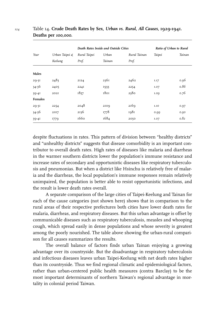|           |                | Death Rates Inside and Outside Cities |        | Ratio of Urban to Rural |        |        |
|-----------|----------------|---------------------------------------|--------|-------------------------|--------|--------|
| Year      | Urban Taipei & | Rural Taipei                          | Urban  | Rural Tainan            | Taipei | Tainan |
|           | Keelung        | Pref.                                 | Tainan | Pref.                   |        |        |
| Males     |                |                                       |        |                         |        |        |
| $29 - 31$ | 2483           | 2124                                  | 2361   | 2462                    | 1.17   | 0.96   |
| $34 - 36$ | 2405           | 224I                                  | 1933   | 2254                    | 1.07   | 0.86   |
| $39 - 41$ | 202I           | 1857                                  | 1801   | 2380                    | 1.09   | 0.76   |
| Females   |                |                                       |        |                         |        |        |
| $29 - 31$ | 2254           | 2048                                  | 2100   | 2169                    | 1.10   | 0.97   |
| $34 - 36$ | 2107           | 2136                                  | 1778   | 1981                    | 0.99   | 0.90   |
| $39 - 41$ | 1779           | 1660                                  | 1684   | 2050                    | 1.07   | 0.82   |

# Table 14. **Crude Death Rates by Sex,** *Urban vs. Rural, All Causes***, 1929-1941. Deaths per** *100,000***.**

despite fluctuations in rates. This pattern of division between "healthy districts" and "unhealthy districts" suggests that disease comorbidity is an important contributor to overall death rates. High rates of diseases like malaria and diarrheas in the warmer southern districts lower the population's immune resistance and increase rates of secondary and opportunistic diseases like respiratory tuberculosis and pneumonias. But when a district like Hsinchu is relatively free of malaria and the diarrheas, the local population's immune responses remain relatively unimpaired, the population is better able to resist opportunistic infections, and the result is lower death rates overall.

A separate comparison of the large cities of Taipei-Keelung and Tainan for each of the cause categories (not shown here) shows that in comparison to the rural areas of their respective prefectures both cities have lower death rates for malaria, diarrheas, and respiratory diseases. But this urban advantage is offset by communicable diseases such as respiratory tuberculosis, measles and whooping cough, which spread easily in dense populations and whose severity is greatest among the poorly nourished. The table above showing the urban-rural comparison for all causes summarizes the results.

The overall balance of factors finds urban Tainan enjoying a growing advantage over its countryside. But the disadvantage in respiratory tuberculosis and infectious diseases leaves urban Taipei-Keelung with net death rates higher than its countryside. Thus we find regional climatic and epidemiological factors, rather than urban-centered public health measures (contra Barclay) to be the most important determinants of northern Taiwan's regional advantage in mortality in colonial period Taiwan.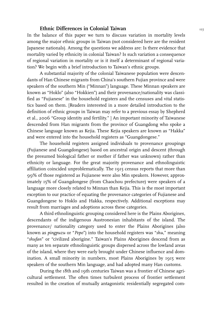## **Ethnic Differences in Colonial Taiwan** *<sup>125</sup>*

In the balance of this paper we turn to discuss variation in mortality levels among the major ethnic groups in Taiwan (not considered here are the resident Japanese nationals). Among the questions we address are: Is there evidence that mortality varied by ethnicity in colonial Taiwan? Is such variation a consequence of regional variation in mortality or is it itself a determinant of regional variation? We begin with a brief introduction to Taiwan's ethnic groups.

A substantial majority of the colonial Taiwanese population were descendants of Han Chinese migrants from China's southern Fujian province and were speakers of the southern Min ("Minnan") language. These Minnan speakers are known as "Hoklo" (also "Hokkien") and their provenance/nationality was classified as "Fujianese" in the household registers and the censuses and vital statistics based on them. [Readers interested in a more detailed introduction to the definition of ethnic groups in Taiwan may refer to a previous essay by Shepherd et al., 2006 "Group identity and fertility." ] An important minority of Taiwanese descended from Han migrants from the province of Guangdong who spoke a Chinese language known as Kejia. These Kejia speakers are known as "Hakka" and were entered into the household registers as "Guangdongese."

The household registers assigned individuals to provenance groupings (Fujianese and Guangdongese) based on ancestral origin and descent (through the presumed biological father or mother if father was unknown) rather than ethnicity or language. For the great majority provenance and ethnolinguistic affiliation coincided unproblematically. The 1915 census reports that more than 99% of those registered as Fujianese were also Min speakers. However, approximately 15% of Guangdongese (from Chaochou prefecture) were speakers of a language more closely related to Minnan than Kejia. This is the most important exception to our practice of equating the provenance categories of Fujianese and Guangdongese to Hoklo and Hakka, respectively. Additional exceptions may result from marriages and adoptions across these categories.

A third ethnolinguistic grouping considered here is the Plains Aborigines, descendants of the indigenous Austronesian inhabitants of the island. The provenance/ nationality category used to enter the Plains Aborigines (also known as *pingpuzu* or "*Pepo*") into the household registers was "*shu*," meaning "*shufan*" or "civilized aborigine." Taiwan's Plains Aborigines descend from as many as ten separate ethnolinguistic groups dispersed across the lowland areas of the island, where they were early brought under Chinese influence and domination. A small minority in numbers, most Plains Aborigines by 1915 were speakers of the southern Min language, and had adopted many Han customs.

During the 18th and 19th centuries Taiwan was a frontier of Chinese agricultural settlement. The often times turbulent process of frontier settlement resulted in the creation of mutually antagonistic residentially segregated com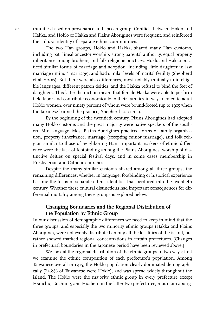*126* munities based on provenance and speech group. Conflicts between Hoklo and Hakka, and Hoklo or Hakka and Plains Aborigines were frequent, and reinforced the cultural identity of separate ethnic communities.

> The two Han groups, Hoklo and Hakka, shared many Han customs, including patrilineal ancestor worship, strong parental authority, equal property inheritance among brothers, and folk religious practices. Hoklo and Hakka practiced similar forms of marriage and adoption, including little daughter in law marriage ('minor' marriage), and had similar levels of marital fertility (Shepherd et al. 2006). But there were also differences, most notably mutually unintelligible languages, different patron deities, and the Hakka refusal to bind the feet of daughters. This latter distinction meant that female Hakka were able to perform field labor and contribute economically to their families in ways denied to adult Hoklo women, over ninety percent of whom were bound-footed (up to 1915 when the Japanese banned the practice, Shepherd 2001 ms).

> By the beginning of the twentieth century, Plains Aborigines had adopted many Hoklo customs and the great majority were native speakers of the southern Min language. Most Plains Aborigines practiced forms of family organization, property inheritance, marriage (excepting minor marriage), and folk religion similar to those of neighboring Han. Important markers of ethnic difference were the lack of footbinding among the Plains Aborigines, worship of distinctive deities on special festival days, and in some cases membership in Presbyterian and Catholic churches.

> Despite the many similar customs shared among all three groups, the remaining differences, whether in language, footbinding or historical experience became the focus of separate ethnic identities that perdured into the twentieth century. Whether these cultural distinctions had important consequences for differential mortality among these groups is explored below.

# **Changing Boundaries and the Regional Distribution of the Population by Ethnic Group**

In our discussion of demographic differences we need to keep in mind that the three groups, and especially the two minority ethnic groups (Hakka and Plains Aborigine), were not evenly distributed among all the localities of the island, but rather showed marked regional concentrations in certain prefectures. [Changes in prefectural boundaries in the Japanese period have been reviewed above.]

We look at the regional distribution of the ethnic groups in two ways; first we examine the ethnic composition of each prefecture's population. Among Taiwanese overall in 1915, the Hoklo population clearly dominated demographically (82.8% of Taiwanese were Hoklo), and was spread widely throughout the island. The Hoklo were the majority ethnic group in every prefecture except Hsinchu, Taichung, and Hualien (in the latter two prefectures, mountain aborig-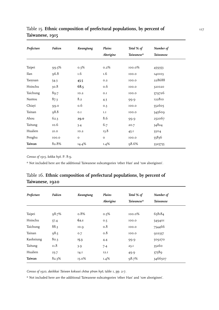| Prefecture | Fukien | Kwangtung | Plains    | Total % of | Number of        |
|------------|--------|-----------|-----------|------------|------------------|
|            |        |           | Aborigine | Taiwanese* | <b>Taiwanese</b> |
|            |        |           |           |            |                  |
| Taipei     | 99.5%  | 0.3%      | 0.2%      | 100.0%     | 459353           |
| Ilan       | 96.8   | 1.6       | 1.6       | 100.0      | 140103           |
| Taoyuan    | 54.3   | 45.5      | O.2       | 100.0      | 228688           |
| Hsinchu    | 30.8   | 68.5      | 0.6       | 100.0      | 321020           |
| Taichung   | 89.7   | 10.2      | O.I       | 100.0      | 579726           |
| Nantou     | 87.3   | 8.2       | 4.3       | 99.9       | 122810           |
| Chiayi     | 99.0   | 0.6       | O.3       | 100.0      | 552605           |
| Tainan     | 98.8   | O.I       | $I.I$     | 100.0      | 545609           |
| Ahou       | 62.3   | 29.0      | 8.6       | 99.9       | 252067           |
| Taitung    | 10.6   | 3.4       | 6.7       | 20.7       | 34824            |
| Hualien    | 21.0   | 10.2      | 13.8      | 45.1       | 33II4            |
| Penghu     | 100.0  | $\circ$   | $\circ$   | 100.0      | 55836            |
| Taiwan     | 82.8%  | 14.4%     | 1.4%      | 98.6%      | 3325755          |

# Table 15. **Ethnic composition of prefectural populations, by percent of** *127* **Taiwanese, 1915**

*Census of 1915, kekka hy¯o*. P. 8-9.

\* Not included here are the additional Taiwanese subcategories 'other Han' and 'raw aborigines'.

# Table 16. **Ethnic composition of prefectural populations, by percent of Taiwanese, 1920**

| Prefecture | Fukien | Kwangtung | Plains<br>Aborigine | Total % of<br>Taiwanese* | Number of<br><b>Taiwanese</b> |
|------------|--------|-----------|---------------------|--------------------------|-------------------------------|
| Taipei     | 98.7%  | 0.8%      | 0.5%                | 100.0%                   | 658184                        |
| Hsinchu    | 37.4   | 62.1      | O.5                 | 100.0                    | 549401                        |
| Taichung   | 88.3   | 10.9      | 0.8                 | 100.0                    | 754466                        |
| Tainan     | 98.5   | 0.7       | 0.8                 | 100.0                    | 922337                        |
| Kaohsiung  | 80.3   | 15.3      | 4.4                 | 99.9                     | 509270                        |
| Taitung    | 11.8   | 3.9       | 7.4                 | 23.1                     | 35260                         |
| Hualien    | 23.7   | 14.I      | I2.I                | 49.9                     | 37589                         |
| Taiwan     | 82.3%  | 15.0%     | 1.4%                | 98.7%                    | 3466507                       |

*Census of 1920, daiikkai Taiwan kokusei ch¯osa y¯oran hy¯o*, table 1, pp. 2-7.

\* Not included here are the additional Taiwanese subcategories 'other Han' and 'raw aborigines'.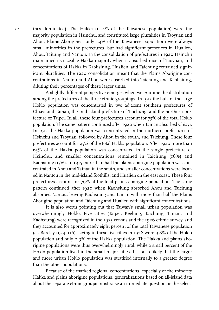*128* ines dominated). The Hakka (14.4% of the Taiwanese population) were the majority population in Hsinchu, and constituted large pluralities in Taoyuan and Ahou. Plains Aborigines (only 1.4% of the Taiwanese population) were always small minorities in the prefectures, but had significant presences in Hualien, Ahou, Taitung and Nantou. In the consolidation of prefectures in 1920 Hsinchu maintained its sizeable Hakka majority when it absorbed most of Taoyuan, and concentrations of Hakka in Kaohsiung, Hualien, and Taichung remained significant pluralities. The 1920 consolidation meant that the Plains Aborigine concentrations in Nantou and Ahou were absorbed into Taichung and Kaohsiung, diluting their percentages of these larger units.

> A slightly different perspective emerges when we examine the distribution among the prefectures of the three ethnic groupings. In 1915 the bulk of the large Hoklo population was concentrated in two adjacent southern prefectures of Chiayi and Tainan, the mid-island prefecture of Taichung, and the northern prefecture of Taipei. In all, these four prefectures account for 75% of the total Hoklo population. The same pattern continued after 1920 when Tainan absorbed Chiayi. In 1915 the Hakka population was concentrated in the northern prefectures of Hsinchu and Taoyuan, followed by Ahou in the south, and Taichung. These four prefectures account for 95% of the total Hakka population. After 1920 more than 65% of the Hakka population was concentrated in the single prefecture of Hsinchu, and smaller concentrations remained in Taichung (16%) and Kaohsiung (15%). In 1915 more than half the plains aborigine population was concentrated in Ahou and Tainan in the south, and smaller concentrations were located in Nantou in the mid-island foothills, and Hualien on the east coast. These four prefectures account for 79% of the total plains aborigine population. The same pattern continued after 1920 when Kaohsiung absorbed Ahou and Taichung absorbed Nantou; leaving Kaohsiung and Tainan with more than half the Plains Aborigine population and Taichung and Hualien with significant concentrations.

> It is also worth pointing out that Taiwan's small urban population was overwhelmingly Hoklo. Five cities (Taipei, Keelung, Taichung, Tainan, and Kaohsiung) were recognized in the 1925 census and the 1926 ethnic survey, and they accounted for approximately eight percent of the total Taiwanese population (cf. Barclay 1954: 116). Living in these five cities in 1926 were 9.8% of the Hoklo population and only 0.9% of the Hakka population. The Hakka and plains aborigine populations were thus overwhelmingly rural, while a small percent of the Hoklo population lived in the small major cities. It is also likely that the larger and more urban Hoklo population was stratified internally to a greater degree than the other populations.

> Because of the marked regional concentrations, especially of the minority Hakka and plains aborigine populations, generalizations based on all-island data about the separate ethnic groups must raise an immediate question: is the select-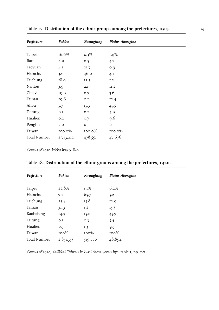| Prefecture   | Fukien    | Kwangtung | Plains Aborigine |
|--------------|-----------|-----------|------------------|
|              |           |           |                  |
| Taipei       | 16.6%     | $0.3\%$   | 1.9%             |
| Ilan         | 4.9       | 0.5       | 4.7              |
| Taoyuan      | 4.5       | 21.7      | O.Q              |
| Hsinchu      | 3.6       | 46.0      | $4 \cdot I$      |
| Taichung     | 18.9      | 12.3      | I.2              |
| Nantou       | 3.9       | 2.I       | II.2             |
| Chiayi       | 19.9      | O.7       | 3.6              |
| Tainan       | 19.6      | O.I       | 12.4             |
| Ahou         | 5.7       | 15.3      | 45.5             |
| Taitung      | O.I       | O.2       | 4.9              |
| Hualien      | O.2       | O.7       | 9.6              |
| Penghu       | 2.0       | $\circ$   | $\circ$          |
| Taiwan       | 100.0%    | 100.0%    | 100.0%           |
| Total Number | 2,753,212 | 478,557   | 47,676           |

Table 17. **Distribution of the ethnic groups among the prefectures, 1915.** *129*

*Census of 1915, kekka hγō.p.* 8-9

| Prefecture   | Fukien    | Kwangtung | Plains Aborigine |
|--------------|-----------|-----------|------------------|
|              |           |           |                  |
| Taipei       | 22.8%     | $1.1\%$   | 6.2%             |
| Hsinchu      | 7.2       | 65.7      | 5.2              |
| Taichung     | 23.4      | 15.8      | 12.9             |
| Tainan       | 3I.9      | I.2       | 15.3             |
| Kaohsiung    | 14.3      | 15.0      | 45.7             |
| Taitung      | O.I       | O.3       | 5.4              |
| Hualien      | O.3       | I.3       | 9.3              |
| Taiwan       | 100%      | 100%      | 100%             |
| Total Number | 2,851,353 | 519,770   | 48,894           |
|              |           |           |                  |

| Table 18. Distribution of the ethnic groups among the prefectures, 1920. |  |
|--------------------------------------------------------------------------|--|
|--------------------------------------------------------------------------|--|

*Census of 1920, daiikkai Taiwan kokusei ch¯osa y¯oran hy¯o*, table 1, pp. 2-7.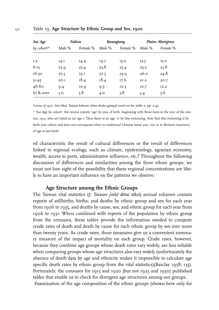| Sui Age    | Fukien |          | Kwangtung |          |        | Plains Aborigines |
|------------|--------|----------|-----------|----------|--------|-------------------|
| by cohort* | Male % | Female % | Male %    | Female % | Male % | Female %          |
|            |        |          |           |          |        |                   |
| $I-5$      | I4.I   | 14.4     | 14.7      | 15.0     | 13.5   | 13.0              |
| $6 - 15$   | 25.9   | 25.4     | 25.8      | 25.4     | 25.2   | 23.8              |
| 16-30      | 27.5   | 25.1     | 27.5      | 25.9     | 26.0   | 24.8              |
| $3I - 45$  | 20.1   | 18.4     | 18.4      | 17.6     | 2I.2   | 20.7              |
| $46 - 60$  | 9.4    | 10.9     | 9.5       | IO.3     | 10.7   | 12.2              |
| 61 & over  | 3.0    | 5.8      | 4.0       | 5.8      | 3.4    | 5.6               |

#### Table 19. **Age Structure by Ethnic Group and Sex, 1920**

*Census of 1920*, *Dai-ikkai Taiwan kokusei ch¯osa shukei gempy¯o zent¯o no bu*, table 2, pp. 2-43.

\* 'Sui Age by cohort': the census reports 'age' by year of birth, beginning with those born in the year of the census, 1915, who are listed as sui age 1. Thus there is no age 'o' by this reckoning. Note that this reckoning is by birth year cohort and does not correspond either to traditional Chinese lunar year 'sui' or to Western measures of age at last birth.

ed characteristic the result of cultural differences or the result of differences linked to regional ecology, such as climate, epidemiology, agrarian economy, wealth, access to ports, administrative influence, etc.? Throughout the following discussion of differences and similarities among the three ethnic groups, we must not lose sight of the possibility that these regional concentrations are likely to have an important influence on the patterns we observe.

#### **Age Structure among the Ethnic Groups**

The Taiwan vital statistics (J: *Taiwan jinkō dōtai tōkei*) annual volumes contain reports of stillbirths, births, and deaths by ethnic group and sex for each year from 1906 to 1935, and deaths by cause, sex, and ethnic group for each year from 1906 to 1931. When combined with reports of the population by ethnic group from the censuses, these tables provide the information needed to compute crude rates of death and death by cause for each ethnic group by sex over more than twenty years. As crude rates, these measures give us a convenient summary measure of the impact of mortality on each group. Crude rates, however, because they combine age groups whose death rates vary widely, are less reliable when comparing groups whose age structures also vary widely (unfortunately the absence of death data by age and ethnicity makes it impossible to calculate age specific death rates by ethnic group from the vital statistics)(Barclay 1958: 135). Fortunately, the censuses for 1915 and 1920 (but not 1925 and 1930) published tables that enable us to check for divergent age structures among our groups. Examination of the age composition of the ethnic groups (shown here only for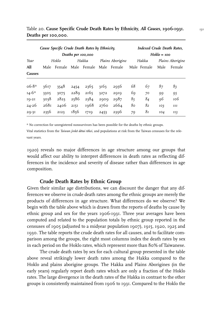|               |                | Cause Specific Crude Death Rates by Ethnicity,<br>Deaths per 100,000 | Indexed Crude Death Rates.<br>$Hoklo = 100$ |             |      |                  |    |             |                  |        |
|---------------|----------------|----------------------------------------------------------------------|---------------------------------------------|-------------|------|------------------|----|-------------|------------------|--------|
| Year          | Hakka<br>Hoklo |                                                                      |                                             |             |      | Plains Aborigine |    | Hakka       | Plains Aborigine |        |
| All           | Male           | Female                                                               | Male                                        | Female      | Male | Female           |    | Male Female | Male             | Female |
| <b>Causes</b> |                |                                                                      |                                             |             |      |                  |    |             |                  |        |
| $06 - 8*$     | 3617           | 3548                                                                 | 2454                                        | 2365        | 3163 | 2956             | 68 | 67          | 87               | 83     |
| $14 - 6*$     | 3305           | 3075                                                                 | 2289                                        | 2165        | 3272 | 2919             | 69 | 70          | 99               | 95     |
| $IO-2I$       | 3038           | 2823                                                                 | 2586                                        | 2384        | 2000 | 2987             | 85 | 84          | 96               | 106    |
| $24 - 26$     | 2681           | 2406                                                                 | 2151                                        | 1968        | 2760 | 2664             | 80 | 82          | 103              | 111    |
| $29 - 31$     | 2356           | 2123                                                                 | 1856                                        | <b>I7IQ</b> | 2453 | 2396             | 79 | 81          | 104              | 113    |

Table 20. **Cause Specific Crude Death Rates by Ethnicity,** *All Causes***, 1906-1931. Deaths per 100,000.** 

\* No correction for unregistered nonsurvivors has been possible for the deaths by ethnic groups.

Vital statistics from the *Taiwan jinkō dōtai tōkei*, and populations at risk from the Taiwan censuses for the relevant years.

1920) reveals no major differences in age structure among our groups that would affect our ability to interpret differences in death rates as reflecting differences in the incidence and severity of disease rather than differences in age composition.

## **Crude Death Rates by Ethnic Group**

Given their similar age distributions, we can discount the danger that any differences we observe in crude death rates among the ethnic groups are merely the products of differences in age structure. What differences do we observe? We begin with the table above which is drawn from the reports of deaths by cause by ethnic group and sex for the years 1906-1931. Three year averages have been computed and related to the population totals by ethnic group reported in the censuses of 1905 (adjusted to a midyear population 1907), 1915, 1920, 1925 and 1930. The table reports the crude death rates for all causes, and to facilitate comparison among the groups, the right most columns index the death rates by sex in each period on the Hoklo rates, which represent more than 80% of Taiwanese.

The crude death rates by sex for each cultural group presented in the table above reveal strikingly lower death rates among the Hakka compared to the Hoklo and plains aborigine groups. The Hakka and Plains Aborigines (in the early years) regularly report death rates which are only a fraction of the Hoklo rates. The large divergence in the death rates of the Hakka in contrast to the other groups is consistently maintained from 1906 to 1931. Compared to the Hoklo the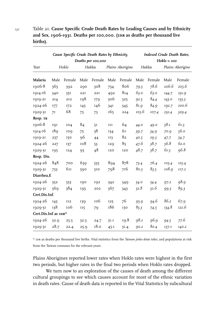Table 21. **Cause Specific Crude Death Rates by Leading Causes and by Ethnicity** and Sex, 1906-1931. Deaths per 100,000. (IDR as deaths per thousand live **births).**

| Cause Specific Crude Death Rates by Ethnicity, |       |        |       |                    |          |                  | Indexed Crude Death Rates, |        |               |                  |  |  |
|------------------------------------------------|-------|--------|-------|--------------------|----------|------------------|----------------------------|--------|---------------|------------------|--|--|
|                                                |       |        |       | Deaths per 100,000 |          |                  |                            |        | $Hoklo = 100$ |                  |  |  |
| Year                                           | Hoklo |        | Hakka |                    |          | Plains Aborigine |                            | Hakka  |               | Plains Aborigine |  |  |
| Malaria                                        | Male  | Female | Male  | Female             | Male     | Female           | Male                       | Female | Male          | Female           |  |  |
| 1906-8                                         | 365   | 392    | 290   | 308                | 754      | 806              | 79.5                       | 78.6   | 206.6         | 205.6            |  |  |
| 1914-16                                        | 340   | 35I    | 221   | 221                | 492      | 814              | 65.0                       | 63.0   | 144.7         | 231.9            |  |  |
| 1919-21                                        | 2I4   | 212    | 198   | 179                | 306      | 325              | 92.5                       | 84.4   | 143.0         | 153.3            |  |  |
| 1924-26                                        | 177   | 172    | 145   | 146                | 34I      | 345              | 81.9                       | 84.9   | 192.7         | 200.6            |  |  |
| 1929-31                                        | 71    | 68     | 75    | 73                 | 165      | 224              | 105.6                      | 107.4  | 232.4         | 329.4            |  |  |
| Resp. тв                                       |       |        |       |                    |          |                  |                            |        |               |                  |  |  |
| 1906-8                                         | 191   | 104    | 84    | 51                 | $\;$ III | 64               | 44.0                       | 49.0   | 58.1          | 61.5             |  |  |
| 1914-16                                        | 189   | 109    | 75    | 38                 | 134      | 61               | 39.7                       | 34.9   | 70.9          | 56.0             |  |  |
| 1919-21                                        | 237   | 150    | 96    | 44                 | II3      | 82               | 40.5                       | 29.3   | 47.7          | 54.7             |  |  |
| 1924-26                                        | 227   | 137    | 108   | 53                 | 129      | 85               | 47.6                       | 38.7   | 56.8          | 62.0             |  |  |
| 1929-31                                        | 195   | 124    | 95    | 48                 | 120      | 120              | 48.7                       | 38.7   | 61.5          | 96.8             |  |  |
| Resp. Dis.                                     |       |        |       |                    |          |                  |                            |        |               |                  |  |  |
| 1924-26                                        | 848   | 700    | 639   | 535                | 894      | 878              | 75.4                       | 76.4   | 105.4         | 125.4            |  |  |
| 1929-31                                        | 733   | 611    | 590   | 510                | 798      | 716              | 80.5                       | 83.5   | 108.9         | 117.2            |  |  |
| Diarrhea,E                                     |       |        |       |                    |          |                  |                            |        |               |                  |  |  |
| 1924-26                                        | 352   | 353    | 100   | 192                | 342      | 349              | 54.0                       | 54.4   | 97.2          | 98.9             |  |  |
| 1929-31                                        | 369   | 384    | 195   | 202                | 367      | 343              | 52.8                       | 52.6   | 99.5          | 89.3             |  |  |
| Cert.Dis.Inf.                                  |       |        |       |                    |          |                  |                            |        |               |                  |  |  |
| 1924-26                                        | 145   | II2    | 139   | 106                | 125      | 76               | 95.9                       | 94.6   | 86.2          | 67.9             |  |  |
| 1929-31                                        | 138   | 106    | 115   | 79                 | 186      | 130              | 83.3                       | 74.5   | 134.8         | 122.6            |  |  |
| Cert.Dis.Inf as IDR*                           |       |        |       |                    |          |                  |                            |        |               |                  |  |  |
| 1924-26                                        | 32.9  | 25.5   | 32.3  | 24.7               | 3I.I     | 19.8             | 98.2                       | 96.9   | 94.5          | 77.6             |  |  |
| 1929-31                                        | 28.7  | 22.4   | 25.9  | 18.0               | 45.1     | 3I.4             | 90.2                       | 80.4   | 157.1         | 140.2            |  |  |

\* idr as deaths per thousand live births. Vital statistics from the *Taiwan jinko dotai tokei*, and populations at risk from the Taiwan censuses for the relevant years.

Plains Aborigines reported lower rates when Hoklo rates were highest in the first two periods, but higher rates in the final two periods when Hoklo rates dropped.

We turn now to an exploration of the causes of death among the different cultural groupings to see which causes account for most of the ethnic variation in death rates. Cause of death data is reported in the Vital Statistics by subcultural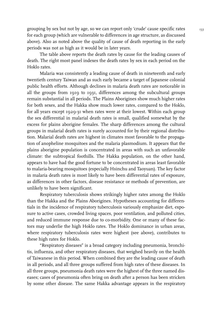grouping by sex but not by age, so we can report only 'crude' cause specific rates *133* for each group (which are vulnerable to differences in age structure, as discussed above). Also as noted above the quality of cause of death reporting in the early periods was not as high as it would be in later years.

The table above reports the death rates by cause for the leading causes of death. The right most panel indexes the death rates by sex in each period on the Hoklo rates.

Malaria was consistently a leading cause of death in nineteenth and early twentieth century Taiwan and as such early became a target of Japanese colonial public health efforts. Although declines in malaria death rates are noticeable in all the groups from 1919 to 1931, differences among the subcultural groups remain substantial in all periods. The Plains Aborigines show much higher rates for both sexes, and the Hakka show much lower rates, compared to the Hoklo, for all years except 1929-31 when rates were at their lowest. Within each group the sex differential in malarial death rates is small, qualified somewhat by the excess for plains aborigine females. The sharp differences among the cultural groups in malarial death rates is surely accounted for by their regional distribution. Malarial death rates are highest in climates most favorable to the propagation of anopheline mosquitoes and the malaria plasmodium. It appears that the plains aborigine population is concentrated in areas with such an unfavorable climate: the subtropical foothills. The Hakka population, on the other hand, appears to have had the good fortune to be concentrated in areas least favorable to malaria-bearing mosquitoes (especially Hsinchu and Taoyuan). The key factor in malaria death rates is most likely to have been differential rates of exposure, as differences in other factors, disease resistance or methods of prevention, are unlikely to have been significant.

Respiratory tuberculosis shows strikingly higher rates among the Hoklo than the Hakka and the Plains Aborigines. Hypotheses accounting for differentials in the incidence of respiratory tuberculosis variously emphasize diet, exposure to active cases, crowded living spaces, poor ventilation, and polluted cities, and reduced immune response due to co-morbidity. One or many of these factors may underlie the high Hoklo rates. The Hoklo dominance in urban areas, where respiratory tuberculosis rates were highest (see above), contributes to these high rates for Hoklo.

"Respiratory diseases" is a broad category including pneumonia, bronchitis, influenza, and other respiratory diseases, that weighed heavily on the health of Taiwanese in this period. When combined they are the leading cause of death in all periods, and all three groups suffered from high rates of these diseases. In all three groups, pneumonia death rates were the highest of the three named diseases; cases of pneumonia often bring on death after a person has been stricken by some other disease. The same Hakka advantage appears in the respiratory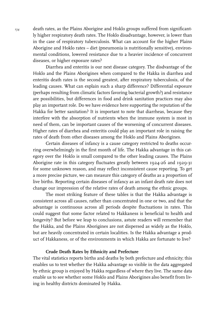*134* death rates, as the Plains Aborigine and Hoklo groups suffered from significantly higher respiratory death rates. The Hoklo disadvantage, however, is lower than in the case of respiratory tuberculosis. What can account for the higher Plains Aborigine and Hoklo rates – diet (pneumonia is nutritionally sensitive), environmental conditions, lowered resistance due to a heavier incidence of concurrent diseases, or higher exposure rates?

> Diarrhea and enteritis is our next disease category. The disdvantage of the Hoklo and the Plains Aborigines when compared to the Hakka in diarrhea and enteritis death rates is the second greatest, after respiratory tuberculosis, of the leading causes. What can explain such a sharp difference? Differential exposure (perhaps resulting from climatic factors favoring bacterial growth?) and resistance are possibilities, but differences in food and drink sanitation practices may also play an important role. Do we have evidence here supporting the reputation of the Hakka for better sanitation? It is important to note that diarrheas, because they interfere with the absorption of nutrients when the immune system is most in need of them, can be important causes of the worsening of concurrent diseases. Higher rates of diarrhea and enteritis could play an important role in raising the rates of death from other diseases among the Hoklo and Plains Aborigines.

> Certain diseases of infancy is a cause category restricted to deaths occurring overwhelmingly in the first month of life. The Hakka advantage in this category over the Hoklo is small compared to the other leading causes. The Plains Aborigine rate in this category fluctuates greatly between 1924-26 and 1929-31 for some unknown reason, and may reflect inconsistent cause reporting. To get a more precise picture, we can measure this category of deaths as a proportion of live births. Reporting certain diseases of infancy as an infant death rate does not change our impression of the relative rates of death among the ethnic groups.

> The most striking feature of these tables is that the Hakka advantage is consistent across all causes, rather than concentrated in one or two, and that the advantage is continuous across all periods despite fluctuations in rates. This could suggest that some factor related to Hakkaness is beneficial to health and longevity? But before we leap to conclusions, astute readers will remember that the Hakka, and the Plains Aborigines are not dispersed as widely as the Hoklo, but are heavily concentrated in certain localities. Is the Hakka advantage a product of Hakkaness, or of the environments in which Hakka are fortunate to live?

#### **Crude Death Rates by Ethnicity and Prefecture**

The vital statistics reports births and deaths by both prefecture and ethnicity; this enables us to test whether the Hakka advantage so visible in the data aggregated by ethnic group is enjoyed by Hakka regardless of where they live. The same data enable us to see whether some Hoklo and Plains Aborigines also benefit from living in healthy districts dominated by Hakka.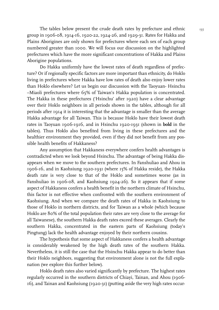The tables below present the crude death rates by prefecture and ethnic *135* group in 1906-08, 1914-16, 1920-22, 1924-26, and 1929-31. Rates for Hakka and Plains Aborigines are only shown for prefectures where each sex of each group numbered greater than 1000. We will focus our discussion on the highlighted prefectures which have the more significant concentrations of Hakka and Plains Aborigine populations.

Do Hakka uniformly have the lowest rates of death regardless of prefecture? Or if regionally specific factors are more important than ethnicity, do Hoklo living in prefectures where Hakka have low rates of death also enjoy lower rates than Hoklo elsewhere? Let us begin our discussion with the Taoyuan- Hsinchu –Miaoli prefectures where 65% of Taiwan's Hakka population is concentrated. The Hakka in these prefectures ('Hsinchu' after 1920) have a clear advantage over their Hoklo neighbors in all periods shown in the tables, although for all periods after 1914 it is interesting that the advantage is smaller than the average Hakka advantage for all Taiwan. This is because Hoklo have their lowest death rates in Taoyuan 1906-1916, and in Hsinchu 1920-1931 (shown in **bold** in the tables). Thus Hoklo also benefited from living in these prefectures and the healthier environment they provided, even if they did not benefit from any possible health benefits of Hakkaness?

Any assumption that Hakkaness everywhere confers health advantages is contradicted when we look beyond Hsinchu. The advantage of being Hakka disappears when we move to the southern prefectures. In Fanshuliao and Ahou in 1906-16, and in Kaohsiung 1920-1931 (where 15% of Hakka reside), the Hakka death rate is very close to that of the Hoklo and sometimes worse (as in Fanshuliao in 1906-08, and Kaohsiung 1924-26). So it appears that if some aspect of Hakkaness confers a health benefit in the northern climate of Hsinchu, this factor is not effective when confronted with the southern environment of Kaohsiung. And when we compare the death rates of Hakka in Kaohsiung to those of Hoklo in northern districts, and for Taiwan as a whole (which because Hoklo are 80% of the total population their rates are very close to the average for all Taiwanese), the southern Hakka death rates exceed these averages. Clearly the southern Hakka, concentrated in the eastern parts of Kaohsiung (today's Pingtung) lack the health advantage enjoyed by their northern cousins.

The hypothesis that some aspect of Hakkaness confers a health advantage is considerably weakened by the high death rates of the southern Hakka. Nevertheless, it is still the case that the Hsinchu Hakka appear to do better than their Hoklo neighbors, suggesting that environment alone is not the full explanation (we explore this further below).

Hoklo death rates also varied significantly by prefecture. The highest rates regularly occurred in the southern districts of Chiayi, Tainan, and Ahou (1906- 16), and Tainan and Kaohsiung (1920-31) (putting aside the very high rates occur-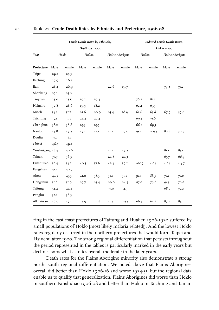|                  |      |        |      | Crude Death Rates by Ethnicity, | Indexed Crude Death Rates, |                  |       |        |               |                  |
|------------------|------|--------|------|---------------------------------|----------------------------|------------------|-------|--------|---------------|------------------|
|                  |      |        |      | Deaths per 1000                 |                            |                  |       |        | $Hoklo = 100$ |                  |
| Year             |      | Hoklo  |      | Hakka                           |                            | Plains Aborigine | Hakka |        |               | Plains Aborigine |
| Prefecture       | Male | Female | Male | Female                          | Male                       | Female           | Male  | Female | Male          | Female           |
| Taipei           | 29.7 | 27.5   |      |                                 |                            |                  |       |        |               |                  |
| Keelung          | 27.9 | 26.1   |      |                                 |                            |                  |       |        |               |                  |
| Ilan             | 28.4 | 26.9   |      |                                 | 22.6                       | 19.7             |       |        | 79.8          | 73.2             |
| Shenkeng         | 27.1 | 25.2   |      |                                 |                            |                  |       |        |               |                  |
| Taoyuan          | 25.0 | 23.5   | 19.1 | 19.4                            |                            |                  | 76.7  | 82.3   |               |                  |
| Hsinchu          | 30.8 | 28.6   | 19.9 | 18.2                            |                            |                  | 64.4  | 63.5   |               |                  |
| Miaoli           | 34.5 | 31.7   | 21.6 | 20.9                            | 23.4                       | 18.9             | 62.6  | 65.8   | 67.9          | 59.5             |
| Taichung         | 35.1 | 3I.2   | 24.4 | 22.4                            |                            |                  | 69.4  | 71.6   |               |                  |
| Changhua         | 38.2 | 36.8   | 25.3 | 25.5                            |                            |                  | 66.2  | 69.3   |               |                  |
| Nantou           | 34.8 | 33.9   | 33.2 | 37.1                            | 31.2                       | 27.0             | 95.5  | 109.5  | 89.8          | 79.5             |
| Douliu           | 37.7 | 38.1   |      |                                 |                            |                  |       |        |               |                  |
| Chiayi           | 46.7 | 49.1   |      |                                 |                            |                  |       |        |               |                  |
| Yanshuigang 38.4 |      | 40.6   |      |                                 | 3I.2                       | 33.9             |       |        | 81.1          | 83.5             |
| Tainan           | 37.7 | 36.3   |      |                                 | 24.8                       | 24.3             |       |        | 65.7          | 66.9             |
| Fanshuliao       | 38.4 | 34.1   | 40.3 | 37.6                            | 42.4                       | 39.1             | 104.9 | 110.3  | 110.3         | 114.7            |
| Fengshan         | 4I.4 | 40.7   |      |                                 |                            |                  |       |        |               |                  |
| Ahou             | 44.5 | 43.3   | 41.0 | 38.3                            | 32.1                       | 3I.2             | Q2.1  | 88.5   | 72.1          | 72.0             |
| Hengchun         | 31.8 | 31.9   | 27.7 | 25.4                            | 29.0                       | 24.5             | 87.0  | 79.8   | 91.3          | 76.8             |
| Taitung          | 54.4 | 44.4   |      |                                 | 37.0                       | 34.3             |       |        | 68.0          | 77.2             |
| Penghu           | 32.1 | 36.3   |      |                                 |                            |                  |       |        |               |                  |
| All Taiwan       | 36.0 | 35.2   | 23.9 | 22.8                            | 3I.4                       | 29.3             | 66.4  | 64.8   | 87.2          | 83.2             |

#### Table 22. **Crude Death Rates by Ethnicity and Prefecture, 1906-08.**

ring in the east coast prefectures of Taitung and Hualien 1906-1922 suffered by small populations of Hoklo [most likely malaria related]). And the lowest Hoklo rates regularly occurred in the northern prefectures that would form Taipei and Hsinchu after 1920. The strong regional differentiation that persists throughout the period represented in the tables is particularly marked in the early years but declines somewhat as rates overall moderate in the later years.

Death rates for the Plains Aborigine minority also demonstrate a strong north- south regional differentiation. We noted above that Plains Aborigines overall did better than Hoklo 1906-16 and worse 1924-31, but the regional data enable us to qualify that generalization. Plains Aborigines did worse than Hoklo in southern Fanshuliao 1906-08 and better than Hoklo in Taichung and Tainan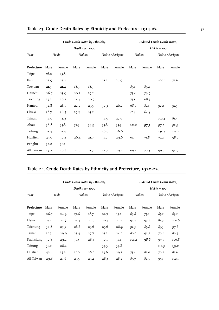|            |       |        | Crude Death Rates by Ethnicity,<br>Deaths per 1000 | Indexed Crude Death Rates,<br>$Hoklo = 100$ |      |                  |          |        |                  |        |
|------------|-------|--------|----------------------------------------------------|---------------------------------------------|------|------------------|----------|--------|------------------|--------|
| Year       | Hoklo |        | Hakka                                              |                                             |      | Plains Aborigine |          | Hakka  | Plains Aborigine |        |
| Prefecture | Male  | Female | Male                                               | Female                                      | Male | Female           | Male     | Female | Male             | Female |
| Taipei     | 26.2  | 25.8   |                                                    |                                             |      |                  |          |        |                  |        |
| Ilan       | 23.9  | 23.2   |                                                    |                                             | 25.1 | 16.9             |          |        | 105.1            | 72.6   |
| Taoyuan    | 21.5  | 2I.4   | 18.3                                               | 18.3                                        |      |                  | 85.1     | 85.4   |                  |        |
| Hsinchu    | 26.7  | 23.9   | 20.I                                               | 19.I                                        |      |                  | $75 - 4$ | 79.9   |                  |        |
| Taichung   | 33.2  | 30.2   | 24.4                                               | 20.7                                        |      |                  | 73.5     | 68.3   |                  |        |
| Nantou     | 32.8  | 28.7   | 22.5                                               | 23.5                                        | 30.3 | 26.2             | 68.7     | 82.1   | Q2.2             | 91.5   |
| Chiayi     | 38.7  | 36.5   | 19.5                                               | 23.5                                        |      |                  | 50.3     | 64.4   |                  |        |
| Tainan     | 38.0  | 33.9   |                                                    |                                             | 38.9 | 27.6             |          |        | 102.4            | 81.5   |
| Ahou       | 36.8  | 35.8   | 37.3                                               | 34.9                                        | 35.8 | 33.3             | 101.2    | 97.3   | 97.2             | 92.9   |
| Taitung    | 25.4  | 2I.4   |                                                    |                                             | 36.9 | 26.6             |          |        | 145.4            | 124.2  |
| Hualien    | 43.0  | 30.2   | 26.4                                               | 21.7                                        | 31.2 | 29.6             | 61.3     | 71.8   | 72.4             | 98.0   |
| Penghu     | 32.0  | 31.7   |                                                    |                                             |      |                  |          |        |                  |        |
| All Taiwan | 33.0  | 30.8   | 22.9                                               | 21.7                                        | 32.7 | 29.2             | 69.2     | 70.4   | 99.0             | 94.9   |

# Table 23. **Crude Death Rates by Ethnicity and Prefecture, 1914-16.** *137*

| Table 24. Crude Death Rates by Ethnicity and Prefecture, 1920-22. |  |
|-------------------------------------------------------------------|--|
|-------------------------------------------------------------------|--|

|            |       |        |       | Crude Death Rates by Ethnicity, |                  | Indexed Crude Death Rates, |               |        |                  |        |  |  |
|------------|-------|--------|-------|---------------------------------|------------------|----------------------------|---------------|--------|------------------|--------|--|--|
|            |       |        |       | Deaths per 1000                 |                  |                            | $Hoklo = 100$ |        |                  |        |  |  |
| Year       | Hoklo |        | Hakka |                                 | Plains Aborigine |                            |               | Hakka  | Plains Aborigine |        |  |  |
| Prefecture | Male  | Female | Male  | Female                          | Male             | Female                     | Male          | Female | Male             | Female |  |  |
| Taipei     | 26.7  | 24.9   | 17.6  | 18.7                            | 22.7             | 15.7                       | 65.8          | 75.1   | 85.2             | 63.2   |  |  |
| Hsinchu    | 25.1  | 22.5   | 23.4  | 22.0                            | 20.5             | 22.7                       | $93-4$        | 97.8   | 81.7             | 100.6  |  |  |
| Taichung   | 30.8  | 27.5   | 28.6  | 23.6                            | 25.6             | 26.9                       | 92.9          | 85.8   | 83.3             | 97.6   |  |  |
| Tainan     | 31.7  | 29.9   | 25.4  | 27.7                            | 25.1             | 24.1                       | 80.0          | 92.7   | 79.1             | 80.5   |  |  |
| Kaohsiung  | 30.8  | 29.2   | 31.3  | 28.8                            | 30.1             | 3I.I                       | 101.4         | 98.6   | 97.7             | 106.8  |  |  |
| Taitung    | 3I.0  | 26.2   |       |                                 | 34.3             | 34.8                       |               |        | 110.9            | 133.0  |  |  |
| Hualien    | 42.4  | 35.2   | 3I.0  | 28.8                            | 33.6             | 29.I                       | 73.1          | 82.0   | 79.2             | 82.6   |  |  |
| All Taiwan | 29.8  | 27.6   | 25.5  | 23.4                            | 28.3             | 28.2                       | 85.7          | 84.9   | 95.1             | 102.1  |  |  |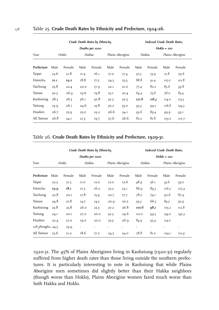|            |       |        | Crude Death Rates by Ethnicity, |                 | Indexed Crude Death Rates, |                  |               |        |                  |        |  |  |
|------------|-------|--------|---------------------------------|-----------------|----------------------------|------------------|---------------|--------|------------------|--------|--|--|
|            |       |        |                                 | Deaths per 1000 |                            |                  | $Hoklo = 100$ |        |                  |        |  |  |
| Year       | Hoklo |        | Hakka                           |                 |                            | Plains Aborigine | Hakka         |        | Plains Aborigine |        |  |  |
| Prefecture | Male  | Female | Male                            | Female          | Male                       | Female           | Male          | Female | Male             | Female |  |  |
| Taipei     | 23.6  | 21.8   | II.9                            | 16.1            | 17.0                       | 17.4             | 50.3          | 73.9   | 71.8             | 79.6   |  |  |
| Hsinchu    | 2I.I  | 19.2   | 18.8                            | 17.5            | 24.3                       | 23.3             | 88.8          | 91.4   | 115.0            | 121.8  |  |  |
| Taichung   | 25.8  | 22.4   | 20.0                            | 17.9            | 22.1                       | 21.0             | 77.4          | 80.2   | 85.6             | 93.8   |  |  |
| Tainan     | 30.5  | 26.9   | 19.6                            | 19.8            | 23.1                       | 22.4             | 64.4          | 73.6   | 76.0             | 83.4   |  |  |
| Kaohsiung  | 28.3  | 26.5   | 36.1                            | 30.8            | 32.3                       | 30.5             | 127.6         | 116.3  | 114.0            | 115.3  |  |  |
| Taitung    | 25.9  | 26.1   | 24.6                            | 25.8            | 30.2                       | 35.0             | 95.3          | 99.2   | 116.6            | 134.3  |  |  |
| Hualien    | 26.7  | 25.9   | 25.0                            | 23.2            | 26.6                       | 24.1             | 93.6          | 89.4   | 99.9             | 93.1   |  |  |
| All Taiwan | 26.8  | 24.1   | 21.5                            | 19.7            | 27.6                       | 26.6             | 80.2          | 81.8   | 103.0            | 110.7  |  |  |

#### Table 25. **Crude Death Rates by Ethnicity and Prefecture, 1924-26.**

#### Table 26. **Crude Death Rates by Ethnicity and Prefecture, 1929-31.**

|                  |       |        | Crude Death Rates by Ethnicity, |                          | Indexed Crude Death Rates, |        |               |                          |                  |                              |  |  |
|------------------|-------|--------|---------------------------------|--------------------------|----------------------------|--------|---------------|--------------------------|------------------|------------------------------|--|--|
|                  |       |        |                                 | Deaths per 1000          |                            |        | $Hoklo = 100$ |                          |                  |                              |  |  |
| Year             | Hoklo |        | Hakka                           |                          | Plains Aborigine           |        | Hakka         |                          | Plains Aborigine |                              |  |  |
| Prefecture       | Male  | Female | Male                            | Female                   | Male                       | Female | Male          | Female                   | Male             | Female                       |  |  |
| Taipei           | 22.5  | 2I.3   | II.O                            | 12.0                     | 12.0                       | 12.6   | 48.9          | 56.1                     | 53.6             | 59.0                         |  |  |
| Hsinchu          | 19.9  | 18.1   | 17.3                            | 16.2                     | 23.2                       | 23.1   | 86.9          | 89.3                     | 116.5            | 127.4                        |  |  |
| Taichung         | 22.8  | 20.1   | 17.8                            | 15.9                     | 20.7                       | 17.7   | 78.0          | 79.1                     | 90.6             | 87.9                         |  |  |
| Tainan           | 24.8  | 21.8   | 14.7                            | 14.5                     | 20.9                       | 20.2   | 59.3          | 66.5                     | 84.5             | 92.9                         |  |  |
| Kaohsiung        | 25.8  | 23.8   | 26.0                            | 23.3                     | 27.2                       | 26.8   | 100.6         | 98.2                     | 105.2            | 112.8                        |  |  |
| Taitung          | 24.1  | 20.1   | 27.0                            | 20.0                     | 32.3                       | 29.6   | 112.0         | 99.5                     | 134.0            | 147.3                        |  |  |
| Hualien          | 22.4  | 21.0   | 19.0                            | 20.0                     | 25.5                       | 26.9   | 84.9          | $95 - 4$                 | 114.0            |                              |  |  |
| 128.3Penghu 24.5 |       | 19.9   | $\overline{\phantom{a}}$        | $\overline{\phantom{0}}$ | $\overline{\phantom{a}}$   |        |               | $\overline{\phantom{a}}$ |                  | $\qquad \qquad \blacksquare$ |  |  |
| All Taiwan       | 23.6  | 21.2   | 18.6                            | I7.2                     | 24.5                       | 24.0   | 78.8          | 81.0                     | 104.1            | 112.9                        |  |  |

1920-31. The 45% of Plains Aborigines living in Kaohsiung (1920-31) regularly suffered from higher death rates than those living outside the southern prefectures. It is particularly interesting to note in Kaohsiung that while Plains Aborigine men sometimes did slightly better than their Hakka neighbors (though worse than Hoklo), Plains Aborigine women fared much worse than both Hakka and Hoklo.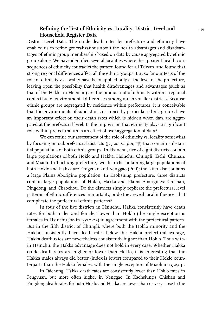## **Refining the Test of Ethnicity vs. Locality: District Level and** *<sup>139</sup>* **Household Register Data**

**District Level Data**. The crude death rates by prefecture and ethnicity have enabled us to refine generalizations about the health advantages and disadvantages of ethnic group membership based on data by cause aggregated by ethnic group alone. We have identified several localities where the apparent health consequences of ethnicity contradict the pattern found for all Taiwan, and found that strong regional differences affect all the ethnic groups. But so far our tests of the role of ethnicity vs. locality have been applied only at the level of the prefecture, leaving open the possibility that health disadvantages and advantages (such as that of the Hakka in Hsinchu) are the product not of ethnicity within a regional context but of environmental differences among much smaller districts. Because ethnic groups are segregated by residence within prefectures, it is conceivable that the environments of subdistricts occupied by particular ethnic groups have an important effect on their death rates which is hidden when data are aggregated at the prefectural level. Is the impression that ethnicity plays a significant role within prefectural units an effect of over-aggregation of data?

We can refine our assessment of the role of ethnicity vs. locality somewhat by focusing on subprefectural districts (J: *gun*, C: *jun*, 郡) that contain substantial populations of **both** ethnic groups. In Hsinchu, five of eight districts contain large populations of both Hoklo and Hakka: Hsinchu, Chungli, Tachi, Chunan, and Miaoli. In Taichung prefecture, two districts containing large populations of both Hoklo and Hakka are Fengyuan and Nenggao (Puli); the latter also contains a large Plains Aborigine population. In Kaohsiung prefecture, three districts contain large populations of Hoklo, Hakka and Plains Aborigines: Chishan, Pingdong, and Chaochou. Do the districts simply replicate the prefectural level patterns of ethnic differences in mortality, or do they reveal local influences that complicate the prefectural ethnic patterns?

In four of the five districts in Hsinchu, Hakka consistently have death rates for both males and females lower than Hoklo (the single exception is females in Hsinchu *jun* in 1920-22) in agreement with the prefectural pattern. But in the fifth district of Chungli, where both the Hoklo minority and the Hakka consistently have death rates below the Hakka prefectural average, Hakka death rates are nevertheless consistently higher than Hoklo. Thus within Hsinchu, the Hakka advantage does not hold in every case. Whether Hakka crude death rates are higher or lower than Hoklo, it is interesting that the Hakka males always did better (index is lower) compared to their Hoklo counterparts than the Hakka females, with the single exception of Miaoli in 1929-31.

In Taichung, Hakka death rates are consistently lower than Hoklo rates in Fengyuan, but more often higher in Nenggao. In Kaohsiung's Chishan and Pingdong death rates for both Hoklo and Hakka are lower than or very close to the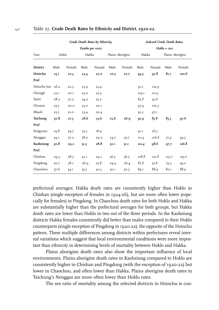|                  |       |        |                 | Crude Death Rates by Ethnicity, | Indexed Crude Death Rates, |        |       |        |                  |        |
|------------------|-------|--------|-----------------|---------------------------------|----------------------------|--------|-------|--------|------------------|--------|
|                  |       |        | Deaths per 1000 |                                 |                            |        |       |        | $Hoklo = 100$    |        |
| Year             | Hoklo |        | Hakka           |                                 | Plains Aborigine           |        | Hakka |        | Plains Aborigine |        |
| District         | Male  | Female | Male            | Female                          | Male                       | Female | Male  | Female | Male             | Female |
| Hsinchu          | 25.1  | 22.5   | 23.4            | 22.0                            | 20.5                       | 22.7   | 93.4  | 97.8   | 81.7             | 100.6  |
| Pref.            |       |        |                 |                                 |                            |        |       |        |                  |        |
| Hsinchu Jun 26.2 |       | 22.3   | 23.9            | 23.4                            |                            |        | Q1.2  | 104.9  |                  |        |
| Chungli          | 22.1  | 20.1   | 23.0            | 22.5                            |                            |        | 104.1 | 111.9  |                  |        |
| Tachi            | 28.2  | 27.2   | 24.2            | 25.2                            |                            |        | 85.8  | 92.6   |                  |        |
| Chunan           | 23.5  | 20.0   | 23.0            | 20.I                            |                            |        | 97.9  | 100.5  |                  |        |
| Miaoli           | 25.3  | 21.0   | 23.4            | 20.4                            |                            |        | 92.5  | 97.1   |                  |        |
| Taichung         | 30.8  | 27.5   | 28.6            | 23.6                            | 25.6                       | 26.9   | 92.9  | 85.8   | 83.3             | 97.6   |
| Pref.            |       |        |                 |                                 |                            |        |       |        |                  |        |
| Fengyuan         | 25.8  | 24.7   | 23.5            | 18.9                            |                            |        | Q1.1  | 76.5   |                  |        |
| Nenggao          | 34.1  | 27.2   | 38.0            | 29.0                            | 24.7                       | 25.7   | 111.4 | 106.6  | 72.4             | 94.5   |
| Kaohsiung        | 30.8  | 29.2   | 31.3            | 28.8                            | 30.I                       | 3I.I   | 101.4 | 98.6   | 97.7             | 106.8  |
| Pref.            |       |        |                 |                                 |                            |        |       |        |                  |        |
| Chishan          | 29.5  | 28.3   | 32.1            | 29.1                            | 36.5                       | 36.5   | 108.8 | 102.8  | 123.7            | 129.0  |
| Pingdong         | 30.7  | 28.1   | 26.9            | 25.8                            | 24.4                       | 26.4   | 87.6  | 91.8   | 79.5             | 94.0   |
| Chaochou         | 37.6  | 34.1   | 33.5            | 30.3                            | 30.1                       | 30.3   | 89.1  | 88.9   | 80.1             | 88.9   |

#### *140* Table 27. **Crude Death Rates by Ethnicity and District, 1920-22.**

prefectural averages; Hakka death rates are consistently higher than Hoklo in Chishan (single exception of females in 1924-26), but are more often lower (especially for females) in Pingdong. In Chaochou death rates for both Hoklo and Hakka are substantially higher than the prefectural averages for both groups, but Hakka death rates are lower than Hoklo in two out of the three periods. In the Kaohsiung districts Hakka females consistently did better than males compared to their Hoklo counterparts (single exception of Pingdong in 1920-22), the opposite of the Hsinchu pattern. These multiple differences among districts within prefectures reveal internal variations which suggest that local environmental conditions were more important than ethnicity in determining levels of mortality between Hoklo and Hakka.

Plains aborigine death rates also show the important influence of local environments. Plains aborigine death rates in Kaohsiung compared to Hoklo are consistently higher in Chishan and Pingdong (with the exception of 1920-22) but lower in Chaochou, and often lower than Hakka. Plains aborigine death rates in Taichung's Nenggao are more often lower than Hoklo rates.

The sex ratio of mortality among the selected districts in Hsinchu is con-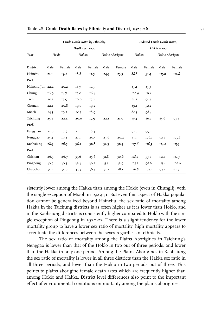|                  |       |        |                 | Crude Death Rates by Ethnicity, | Indexed Crude Death Rates, |        |       |        |                  |        |
|------------------|-------|--------|-----------------|---------------------------------|----------------------------|--------|-------|--------|------------------|--------|
|                  |       |        | Deaths per 1000 |                                 |                            |        |       |        | $Hoklo = 100$    |        |
| Year             | Hoklo |        | Hakka           |                                 | Plains Aborigine           |        | Hakka |        | Plains Aborigine |        |
| <b>District</b>  | Male  | Female | Male            | Female                          | Male                       | Female | Male  | Female | Male             | Female |
| Hsinchu          | 2I.I  | 19.2   | 18.8            | 17.5                            | 24.3                       | 23.3   | 88.8  | 91.4   | 115.0            | 121.8  |
| Pref.            |       |        |                 |                                 |                            |        |       |        |                  |        |
| Hsinchu Jun 22.4 |       | 20.2   | 18.7            | I7.3                            |                            |        | 83.4  | 85.3   |                  |        |
| Chungli          | 16.9  | 14.7   | 17.0            | 16.4                            |                            |        | 100.9 | 111.1  |                  |        |
| Tachi            | 20.I  | 17.9   | 16.9            | I7.2                            |                            |        | 83.7  | 06.3   |                  |        |
| Chunan           | 22.1  | 20.8   | 19.7            | 19.2                            |                            |        | 89.1  | Q2.2   |                  |        |
| Miaoli           | 24.3  | 19.2   | 20.5            | 18.9                            |                            |        | 84.5  | 08.4   |                  |        |
| Taichung         | 25.8  | 22.4   | 20.0            | 17.9                            | 22.1                       | 21.0   | 77.4  | 80.2   | 85.6             | 93.8   |
| Pref.            |       |        |                 |                                 |                            |        |       |        |                  |        |
| Fengyuan         | 23.0  | 18.5   | 2I.I            | 18.4                            |                            |        | 92.0  | 99.2   |                  |        |
| Nenggao          | 25.4  | 19.3   | 2I.I            | 20.5                            | 23.6                       | 20.4   | 83.1  | 106.1  | 92.8             | 105.8  |
| Kaohsiung        | 28.3  | 26.5   | 36.1            | 30.8                            | 32.3                       | 30.5   | 127.6 | 116.3  | 114.0            | 115.3  |
| Pref.            |       |        |                 |                                 |                            |        |       |        |                  |        |
| Chishan          | 26.3  | 26.7   | 33.6            | 25.6                            | 31.8                       | 30.6   | 128.0 | 95.7   | 121.1            | 114.3  |
| Pingdong         | 30.7  | 30.5   | 32.3            | 30.1                            | 35.3                       | 32.9   | 105.2 | 98.6   | 115.1            | 108.0  |
| Chaochou         | 34.1  | 34.0   | 43.3            | 36.5                            | 32.2                       | 28.1   | 126.8 | 107.2  | 94.2             | 82.5   |

#### Table 28. **Crude Death Rates by Ethnicity and District, 1924-26.** *141*

sistently lower among the Hakka than among the Hoklo (even in Chungli), with the single exception of Miaoli in 1929-31. But even this aspect of Hakka population cannot be generalized beyond Hsinchu; the sex ratio of mortality among Hakka in the Taichung districts is as often higher as it is lower than Hoklo, and in the Kaohsiung districts is consistently higher compared to Hoklo with the single exception of Pingdong in 1920-22. There is a slight tendency for the lower mortality group to have a lower sex ratio of mortality; high mortality appears to accentuate the differences between the sexes regardless of ethnicity.

The sex ratio of mortality among the Plains Aborigines in Taichung's Nenggao is lower than that of the Hoklo in two out of three periods, and lower than the Hakka in only one period. Among the Plains Aborigines in Kaohsiung the sex ratio of mortality is lower in all three districts than the Hakka sex ratio in all three periods, and lower than the Hoklo in two periods out of three. This points to plains aborigine female death rates which are frequently higher than among Hoklo and Hakka. District level differences also point to the important effect of environmental conditions on mortality among the plains aborigines.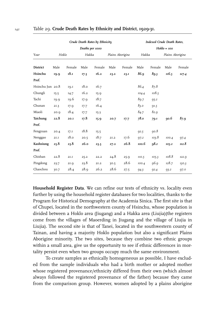|                  |       |        | Deaths per 1000 | Crude Death Rates by Ethnicity, | Indexed Crude Death Rates,<br>$Hoklo = 100$ |        |       |        |                  |        |
|------------------|-------|--------|-----------------|---------------------------------|---------------------------------------------|--------|-------|--------|------------------|--------|
| Year             | Hoklo |        | Hakka           |                                 | Plains Aborigine                            |        | Hakka |        | Plains Aborigine |        |
| District         | Male  | Female | Male            | Female                          | Male                                        | Female | Male  | Female | Male             | Female |
| Hsinchu          | 19.9  | 18.1   | I7.3            | 16.2                            | 23.2                                        | 23.1   | 86.9  | 89.3   | 116.5            | 127.4  |
| Pref.            |       |        |                 |                                 |                                             |        |       |        |                  |        |
| Hsinchu Jun 20.8 |       | 19.I   | 18.0            | 16.7                            |                                             |        | 86.4  | 87.8   |                  |        |
| Chungli          | 15.5  | 14.7   | 16.2            | 15.9                            |                                             |        | 104.4 | 108.5  |                  |        |
| Tachi            | 19.9  | 19.6   | I7.9            | 18.7                            |                                             |        | 89.7  | 95.2   |                  |        |
| Chunan           | 2I.3  | 17.9   | 17.7            | 16.4                            |                                             |        | 83.0  | 91.5   |                  |        |
| Miaoli           | 20.9  | 18.4   | 17.7            | 15.3                            |                                             |        | 84.7  | 82.9   |                  |        |
| Taichung         | 22.8  | 20.I   | 17.8            | 15.9                            | 20.7                                        | I7.7   | 78.0  | 79.1   | 90.6             | 87.9   |
| Pref.            |       |        |                 |                                 |                                             |        |       |        |                  |        |
| Fengyuan         | 20.4  | I7.I   | 18.8            | 15.5                            |                                             |        | 92.5  | 90.8   |                  |        |
| Nenggao          | 2I.I  | 18.0   | 20.5            | 18.7                            | 21.2                                        | 17.6   | 97.2  | 103.8  | 100.4            | 97.4   |
| Kaohsiung        | 25.8  | 23.8   | 26.0            | 23.3                            | 27.2                                        | 26.8   | 100.6 | 08.2   | 105.2            | 112.8  |
| Pref.            |       |        |                 |                                 |                                             |        |       |        |                  |        |
| Chishan          | 22.8  | 2I.I   | 25.2            | 22.2                            | 24.8                                        | 25.9   | 110.5 | 105.3  | 108.8            | 122.9  |
| Pingdong         | 23.7  | 21.9   | 23.8            | 21.2                            | 30.5                                        | 28.6   | 100.4 | 96.9   | 128.7            | 130.3  |
| Chaochou         | 30.7  | 28.4   | 28.9            | 26.2                            | 28.6                                        | 27.5   | 94.3  | 92.4   | 93.2             | 97.0   |

#### *142* Table 29. **Crude Death Rates by Ethnicity and District, 1929-31.**

**Household Register Data**. We can refine our tests of ethnicity vs. locality even further by using the household register databases for two localities, thanks to the Program for Historical Demography at the Academia Sinica. The first site is that of Chupei, located in the northwestern county of Hsinchu, whose population is divided between a Hoklo area (Jiugang) and a Hakka area (Liujia)(the registers come from the villages of Maoerding in Jiugang and the village of Liujia in Liujia). The second site is that of Tanei, located in the southwestern county of Tainan, and having a majority Hoklo population but also a significant Plains Aborigine minority. The two sites, because they combine two ethnic groups within a small area, give us the opportunity to see if ethnic differences in mortality persist even when two groups occupy much the same environment.

To create samples as ethnically homogeneous as possible, I have excluded from the sample individuals who had a birth mother or adopted mother whose registered provenance/ethnicity differed from their own (which almost always followed the registered provenance of the father) because they came from the comparison group. However, women adopted by a plains aborigine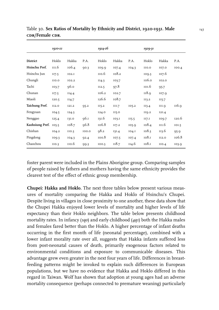|                 | 1020-22 |       |       | 1924-26 |              |       | 1929-31 |              |       |
|-----------------|---------|-------|-------|---------|--------------|-------|---------|--------------|-------|
|                 |         |       |       |         |              |       |         |              |       |
| District        | Hoklo   | Hakka | P.A.  | Hoklo   | Hakka        | P.A.  | Hoklo   | Hakka        | P.A.  |
| Hsinchu Pref.   | 111.6   | 106.4 | 90.3  | 109.9   | 107.4        | 104.3 | IIO.O   | 107.0        | 100.4 |
| Hsinchu Jun     | II7.5   | I02.I |       | 110.6   | 108.2        |       | IOQ.3   | 107.6        |       |
| Chungli         | IIO.O   | 102.2 |       | II4.3   | 103.7        |       | 106.0   | 102.0        |       |
| Tachi           | 103.7   | 96.0  |       | 112.5   | 97.8         |       | 101.6   | $95 - 7$     |       |
| Chunan          | II7.5   | 114.4 |       | 106.2   | 102.7        |       | 118.9   | 107.9        |       |
| Miaoli          | 120.5   | 114.7 |       | 126.6   | 108.7        |       | 113.2   | II5.7        |       |
| Taichung Pref.  | II2.0   | 121.2 | 95.2  | II5.2   | III.7        | 105.2 | II3.4   | III.9        | 116.9 |
| Fengyuan        | 104.5   | 124.3 |       | 124.0   | <b>II5.0</b> |       | 119.2   | I2I.4        |       |
| Nenggao         | 125.4   | 131.0 | 96.1  | 131.6   | 103.1        | 115.5 | II7.I   | 109.7        | 120.6 |
| Kaohsiung Pref. | 105.5   | 108.7 | 96.8  | 106.8   | II7.2        | 105.9 | 108.4   | 111.6        | 101.5 |
| Chishan         | 104.2   | IIO.3 | 100.0 | 98.2    | 131.4        | 104.I | 108.3   | 113.6        | 95.9  |
| Pingdong        | 109.3   | 104.3 | 92.4  | 100.8   | 107.5        | 107.4 | 108.1   | <b>II2.0</b> | 106.8 |
| Chaochou        | IIO.3   | 110.6 | 99.3  | 100.3   | 118.7        | 114.6 | 108.1   | 110.4        | 103.9 |

Table 30. **Sex Ratios of Mortality by Ethnicity and District, 1920-1931. Male**  $CDR$ *Female CDR***.** 

foster parent were included in the Plains Aborigine group. Comparing samples of people raised by fathers and mothers having the same ethnicity provides the clearest test of the effect of ethnic group membership.

**Chupei: Hakka and Hoklo.** The next three tables below present various measures of mortality comparing the Hakka and Hoklo of Hsinchu's Chupei. Despite living in villages in close proximity to one another, these data show that the Chupei Hakka enjoyed lower levels of mortality and higher levels of life expectancy than their Hoklo neighbors. The table below presents childhood mortality rates. In infancy (*1qo*) and early childhood (*4q1*) both the Hakka males and females fared better than the Hoklo. A higher percentage of infant deaths occurring in the first month of life (neonatal percentage), combined with a lower infant morality rate over all, suggests that Hakka infants suffered less from post-neonatal causes of death, primarily exogenous factors related to environmental conditions and exposure to communicable diseases. This advantage grew even greater in the next four years of life. Differences in breastfeeding patterns might be invoked to explain such differences in European populations, but we have no evidence that Hakka and Hoklo differed in this regard in Taiwan. Wolf has shown that adoption at young ages had an adverse mortality consequence (perhaps connected to premature weaning) particularly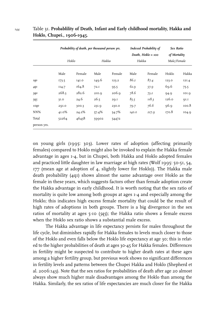| Table 31. Probablility of Death, Infant and Early childhood mortality, Hakka and |  |  |
|----------------------------------------------------------------------------------|--|--|
| Hoklo, Chupei., 1906-1945.                                                       |  |  |

|             | Probability of death, per thousand person yrs. |        |       |        | Indexed Probability of<br>Death, $Hoklo = 100$ |        | Sex Ratio<br>of Mortality |       |
|-------------|------------------------------------------------|--------|-------|--------|------------------------------------------------|--------|---------------------------|-------|
|             | Hoklo                                          |        | Hakka |        | Hakka                                          |        | Male/Female               |       |
|             | Male                                           | Female | Male  | Female | Male                                           | Female | Hoklo                     | Hakka |
| 1qo         | 173.5                                          | 141.0  | 149.6 | 123.2  | 86.2                                           | 87.4   | 123.0                     | 121.4 |
| 491         | II4.7                                          | 164.8  | 72.1  | 95.5   | 62.9                                           | 57.9   | 69.6                      | 75.5  |
| 590         | 268.3                                          | 282.6  | 210.9 | 206.9  | 78.6                                           | 73.2   | 94.9                      | 101.9 |
| 595         | 3I.0                                           | 24.6   | 26.5  | 29.I   | 85.5                                           | 118.3  | 126.0                     | QI.I  |
| 10qo        | 291.0                                          | 300.3  | 231.9 | 230.0  | 79.7                                           | 76.6   | 96.9                      | 100.8 |
| NN%         | 41.0%                                          | 24.2%  | 57.4% | 54.7%  | 140.0                                          | 227.9  | 170.8                     | 104.9 |
| Total       | 52264                                          | 46438  | 59902 | 54472  |                                                |        |                           |       |
| person yrs. |                                                |        |       |        |                                                |        |                           |       |

on young girls (1995: 303). Lower rates of adoption (affecting primarily females) compared to Hoklo might also be invoked to explain the Hakka female advantage in ages 1-4, but in Chupei, both Hakka and Hoklo adopted females and practiced little daughter in law marriage at high rates (Wolf 1995: 50-51, 54, 177 (mean age at adoption of 4, slightly lower for Hoklo)). The Hakka male death probability (4q1) shows almost the same advantage over Hoklo as the female in these years, which suggests factors other than female adoption create the Hakka advantage in early childhood. It is worth noting that the sex ratio of mortality is quite low among both groups at ages 1-4 and especially among the Hoklo; this indicates high excess female mortality that could be the result of high rates of adoptions in both groups. There is a big divergence in the sex ratios of mortality at ages 5-10 (*5q5*); the Hakka ratio shows a female excess when the Hoklo sex ratio shows a substantial male excess.

The Hakka advantage in life expectancy persists for males throughout the life cycle, but diminishes rapidly for Hakka females to levels much closer to those of the Hoklo and even falls below the Hoklo life expectancy at age 30; this is related to the higher probabilities of death at ages 30-45 for Hakka females. Differences in fertility might be suspected to contribute to higher death rates at these ages among a higher fertility group, but previous work shows no significant differences in fertility levels and patterns between the Chupei Hakka and Hoklo (Shepherd et al. 2006:143). Note that the sex ratios for probabilities of death after age 20 almost always show much higher male disadvantages among the Hoklo than among the Hakka. Similarly, the sex ratios of life expectancies are much closer for the Hakka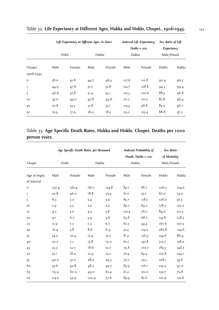|             |      | Life Expectancy at Dfferent Ages, in Years |      |        | Indexed Life Expectancy,<br>$Hoklo = 100$ |        | Sex Ratio of Life<br>Expectancy |       |
|-------------|------|--------------------------------------------|------|--------|-------------------------------------------|--------|---------------------------------|-------|
|             |      | Hoklo                                      |      | Hakka  | Hakka                                     |        | Male/Female                     |       |
| Chupei      | Male | Female                                     | Male | Female | Male                                      | Female | Hoklo                           | Hakka |
| 1906-1945   |      |                                            |      |        |                                           |        |                                 |       |
| $\circ$     | 38.0 | 41.8                                       | 44.7 | 46.3   | 117.6                                     | 110.8  | 90.9                            | 96.5  |
| $\mathbf I$ | 44.9 | 47.6                                       | 51.5 | 51.8   | 114.7                                     | 108.8  | 94.3                            | 99.4  |
| 5           | 46.6 | 52.8                                       | 5I.4 | 53.1   | 110.3                                     | 100.6  | 88.3                            | 96.8  |
| IO          | 43.0 | 49.0                                       | 47.8 | 49.6   | 111.2                                     | 101.2  | 87.8                            | 96.4  |
| 30          | 27.8 | 33.5                                       | 31.8 | 33.1   | 114.4                                     | 98.8   | 83.0                            | 96.1  |
| 50          | 15.9 | 17.9                                       | 18.0 | 18.5   | 113.2                                     | 103.4  | 88.8                            | 97.3  |

# Table 32. **Life Expectancy at Different Ages, Hakka and Hoklo, Chupei., 1906-1945.** *145*

# Table 33. **Age Specific Death Rates, Hakka and Hoklo, Chupei. Deaths per 1000 person years.**

| Chupei        | Age Specific Death Rates, per thousand |        |       |        | Indexed Probability of<br>Death, $Hoklo = 100$ |        | Sex Ratio<br>of Mortality |       |
|---------------|----------------------------------------|--------|-------|--------|------------------------------------------------|--------|---------------------------|-------|
|               | Hoklo                                  |        | Hakka |        | Hakka                                          |        | Male/Female               |       |
| Age at begin. | Male                                   | Female | Male  | Female | Male                                           | Female | Hoklo                     | Hakka |
| of interval   |                                        |        |       |        |                                                |        |                           |       |
| $\circ$       | 197.4                                  | 156.4  | 167.1 | 134.8  | 84.7                                           | 86.2   | 126.2                     | 124.0 |
| $\mathbf I$   | 30.8                                   | 46.0   | 18.8  | 25.4   | 61.0                                           | 55.2   | 67.0                      | 74.0  |
| 5             | 6.3                                    | 5.0    | 5.4   | 5.9    | 85.7                                           | 118.0  | 126.0                     | 91.5  |
| IO            | 3.9                                    | 3.3    | 3.5   | 2.3    | 89.7                                           | 69.7   | 118.2                     | 152.2 |
| 15            | 4.2                                    | 5.0    | 4.3   | 3.8    | 102.4                                          | 76.0   | 84.0                      | 113.2 |
| 20            | Q.I                                    | 6.7    | 5.9   | 4.6    | 64.8                                           | 68.7   | 135.8                     | 128.3 |
| 25            | II.9                                   | 7.1    | 7.2   | 6.7    | 60.5                                           | 94.4   | 167.6                     | 107.5 |
| 30            | 16.4                                   | 5.8    | 8.6   | 6.9    | 52.4                                           | 119.0  | 282.8                     | 124.6 |
| 35            | I4.0                                   | IO.4   | II.4  | 13.2   | 81.4                                           | 126.9  | 134.6                     | 86.4  |
| 40            | 22.2                                   | 7.I    | 13.8  | 10.0   | 62.2                                           | 140.8  | 312.7                     | 138.0 |
| 45            | 23.3                                   | 12.7   | 18.6  | 12.7   | 79.8                                           | 100.0  | 183.5                     | 146.5 |
| 50            | 3I.I                                   | 18.0   | 21.9  | 15.2   | 70.4                                           | 84.4   | 172.8                     | 144.1 |
| 55            | 40.0                                   | 37.0   | 28.0  | 29.3   | 70.0                                           | 79.2   | 108.1                     | 95.6  |
| 60            | 53.6                                   | 42.8   | 48.2  | 49.7   | 89.9                                           | 116.1  | 125.2                     | 97.0  |
| 65            | 79.9                                   | 60.2   | 49.0  | 61.4   | 61.3                                           | 102.0  | 132.7                     | 79.8  |
| 70            | II4.5                                  | 93.9   | 102.9 | 77.6   | 89.9                                           | 82.6   | 121.9                     | 132.6 |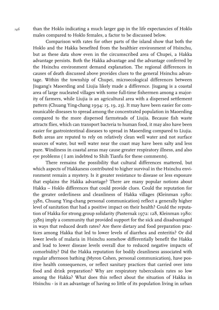*146* than the Hoklo indicating a much larger gap in the life expectancies of Hoklo males compared to Hoklo females, a factor to be discussed below.

> Comparison with rates for other parts of the island show that both the Hoklo and the Hakka benefited from the healthier environment of Hsinchu, but as these data show even in the circumscribed area of Chupei, a Hakka advantage persists. Both the Hakka advantage and the advantage conferred by the Hsinchu environment demand explanation. The regional differences in causes of death discussed above provides clues to the general Hsinchu advantage. Within the township of Chupei, microecological differences between Jiugang's Maoerding and Liujia likely made a difference. Jiugang is a coastal area of large nucleated villages with some full-time fishermen among a majority of farmers, while Liujia is an agricultural area with a dispersed settlement pattern (Chuang Ying-chang 1994: 15, 19, 23). It may have been easier for communicable diseases to spread among the concentrated population in Maoerding compared to the more dispersed farmsteads of Liujia. Because fish waste attracts flies, which can transport bacteria to human food, it may also have been easier for gastrointestinal diseases to spread in Maoerding compared to Liujia. Both areas are reputed to rely on relatively clean well water and not surface sources of water, but well water near the coast may have been salty and less pure. Windiness in coastal areas may cause greater respiratory illness, and also eye problems ( I am indebted to Shih Tianfu for these comments).

> There remains the possibility that cultural differences mattered, but which aspects of Hakkaness contributed to higher survival in the Hsinchu environment remain a mystery. Is it greater resistance to disease or less exposure that explains the Hakka advantage? There are many popular notions about Hakka – Hoklo differences that could provide clues. Could the reputation for the greater orderliness and cleanliness of Hakka villages (Kleinman 1980: 338n, Chuang Ying-chang personal communication) reflect a generally higher level of sanitation that had a positive impact on their health? Could the reputation of Hakka for strong group solidarity (Pasternak 1972: 128, Kleinman 1980: 338n) imply a community that provided support for the sick and disadvantaged in ways that reduced death rates? Are there dietary and food preparation practices among Hakka that led to lower levels of diarrhea and enteritis? Or did lower levels of malaria in Hsinchu somehow differentially benefit the Hakka and lead to lower disease levels overall due to reduced negative impacts of comorbidity? Did the Hakka reputation for bodily cleanliness associated with regular afternoon bathing (Myron Cohen, personal communication), have positive health consequences, or reflect sanitary practices that carried over into food and drink preparation? Why are respiratory tuberculosis rates so low among the Hakka? What does this reflect about the situation of Hakka in Hsinchu - is it an advantage of having so little of its population living in urban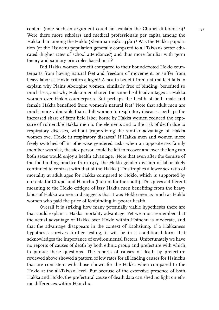centers (note such an argument could not explain the Chupei differences)? *147* Were there more scholars and medical professionals per capita among the Hakka than among the Hoklo (Kleinman 1980: 338n)? Was the Hakka population (or the Hsinchu population generally compared to all Taiwan) better educated (higher rates of school attendance?) and thus more familiar with germ theory and sanitary principles based on it?

Did Hakka women benefit compared to their bound-footed Hoklo counterparts from having natural feet and freedom of movement, or suffer from heavy labor as Hoklo critics alleged? A health benefit from natural feet fails to explain why Plains Aborigine women, similarly free of binding, benefited so much less, and why Hakka men shared the same health advantages as Hakka women over Hoklo counterparts. But perhaps the health of both male and female Hakka benefited from women's natural feet? Note that adult men are much more vulnerable than adult women to respiratory diseases; perhaps the increased share of farm field labor borne by Hakka women reduced the exposure of vulnerable Hakka men to the elements and to the risk of death due to respiratory diseases, without jeapordizing the similar advantage of Hakka women over Hoklo in respiratory diseases? If Hakka men and women more freely switched off in otherwise gendered tasks when an opposite sex family member was sick, the sick person could be left to recover and over the long run both sexes would enjoy a health advantage. (Note that even after the demise of the footbinding practice from 1915, the Hoklo gender division of labor likely continued to contrast with that of the Hakka.) This implies a lower sex ratio of mortality at adult ages for Hakka compared to Hoklo, which is supported by our data for Chupei and Hsinchu (but not for the south). This gives a different meaning to the Hoklo critique of lazy Hakka men benefiting from the heavy labor of Hakka women and suggests that it was Hoklo men as much as Hoklo women who paid the price of footbinding in poorer health.

Overall it is striking how many potentially viable hypotheses there are that could explain a Hakka mortality advantage. Yet we must remember that the actual advantage of Hakka over Hoklo within Hsinchu is moderate, and that the advantage disappears in the context of Kaohsiung. If a Hakkaness hypothesis survives further testing, it will be in a conditional form that acknowledges the importance of environmental factors. Unfortunately we have no reports of causes of death by both ethnic group and prefecture with which to pursue these questions. The reports of causes of death by prefecture reviewed above showed a pattern of low rates for all leading causes for Hsinchu that are consistent with those shown for the Hakka when compared to the Hoklo at the all-Taiwan level. But because of the extensive presence of both Hakka and Hoklo, the prefectural cause of death data can shed no light on ethnic differences within Hsinchu.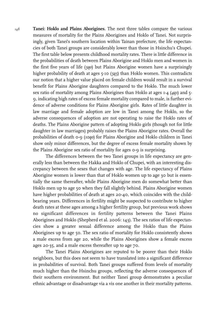*148* **Tanei: Hoklo and Plains Aborigines.** The next three tables compare the various measures of mortality for the Plains Aborigines and Hoklo of Tanei. Not surprisingly, given Tanei's southern location within Tainan prefecture, the life expectancies of both Tanei groups are considerably lower than those in Hsinchu's Chupei. The first table below presents childhood mortality rates. There is little difference in the probabilities of death between Plains Aborigine and Hoklo men and women in the first five years of life (*5qo*) but Plains Aborigine women have a surprisingly higher probability of death at ages 5-10 (*5q5*) than Hoklo women. This contradicts our notion that a higher value placed on female children would result in a survival benefit for Plains Aborigine daughters compared to the Hoklo. The much lower sex ratio of mortality among Plains Aborigines than Hoklo at ages 1-4 (*4q1*) and 5- 9, indicating high rates of excess female mortality compared to male, is further evidence of adverse conditions for Plains Aborigine girls. Rates of little daughter in law marriage and female adoption are low in Tanei among the Hoklo, so the adverse consequences of adoption are not operating to raise the Hoklo rates of deaths. The Plains Aborigine pattern of adopting Hoklo girls (though not for little daughter in law marriages) probably raises the Plains Aborigine rates. Overall the probabilities of death 0-9 (*10qo*) for Plains Aborigine and Hoklo children in Tanei show only minor differences, but the degree of excess female mortality shown by the Plains Aborigine sex ratio of mortality for ages 0-9 is surprising.

> The differences between the two Tanei groups in life expectancy are generally less than between the Hakka and Hoklo of Chupei, with an interesting discrepancy between the sexes that changes with age. The life expectancy of Plains Aborigine women is lower than that of Hoklo women up to age 30 but is essentially the same thereafter, while Plains Aborigine men do somewhat better than Hoklo men up to age 50 when they fall slightly behind. Plains Aborigine women have higher probabilities of death at ages 20-40, which coincides with the childbearing years. Differences in fertility might be suspected to contribute to higher death rates at these ages among a higher fertility group, but previous work shows no significant differences in fertility patterns between the Tanei Plains Aborigines and Hoklo (Shepherd et al. 2006: 143). The sex ratios of life expectancies show a greater sexual difference among the Hoklo than the Plains Aborigines up to age 50. The sex ratio of mortality for Hoklo consistently shows a male excess from age 20, while the Plains Aborigines show a female excess ages 20-35, and a male excess thereafter up to age 70.

> The Tanei Plains Aborigines are reputed to be poorer than their Hoklo neighbors, but this does not seem to have translated into a significant difference in probabilities of survival. Both Tanei groups suffered from levels of mortality much higher than the Hsinchu groups, reflecting the adverse consequences of their southern environment. But neither Tanei group demonstrates a peculiar ethnic advantage or disadvantage via a vis one another in their mortality patterns.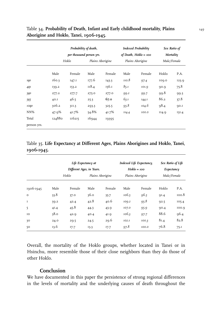# Table 34. **Probability of Death, Infant and Early childhood mortality, Plains Aborigine and Hoklo, Tanei, 1906-1945.**

|             | Probability of death,<br>per thousand person yrs. |        |                  |        | Indexed Probability<br>of Death, Hoklo = 100 |        | Sex Ratio of<br>Mortality |       |
|-------------|---------------------------------------------------|--------|------------------|--------|----------------------------------------------|--------|---------------------------|-------|
|             | Hoklo                                             |        | Plains Aborigine |        | Plains Aborigine                             |        | Male/Female               |       |
|             | Male                                              | Female | Male             | Female | Male                                         | Female | Hoklo                     | P.A.  |
| 190         | 160.3                                             | I47.1  | 177.6            | 143.3  | 110.8                                        | 97.4   | 109.0                     | 123.9 |
| 491         | 139.2                                             | 153.2  | 118.4            | 156.1  | 85.1                                         | 101.9  | 90.9                      | 75.8  |
| 590         | 277.2                                             | 277.7  | 275.0            | 277.0  | 99.2                                         | 99.7   | 99.8                      | 99.3  |
| 595         | 40.I                                              | 46.5   | 25.3             | 67.0   | 63.1                                         | 144.1  | 86.2                      | 37.8  |
| 10qo        | 306.2                                             | 3II.3  | 293.3            | 325.5  | 95.8                                         | 104.6  | 98.4                      | QO.I  |
| NN%         | 47.9%                                             | 41.7%  | 54.8%            | 41.7%  | 114.4                                        | 100.0  | 114.9                     | 131.4 |
| Total       | 124880                                            | 116215 | 16944            | 19395  |                                              |        |                           |       |
| person yrs. |                                                   |        |                  |        |                                              |        |                           |       |

# Table 35. **Life Expectancy at Different Ages, Plains Aborigines and Hoklo, Tanei, 1906-1945.**

|             | Life Expectancy at<br>Different Ages, in Years. |        |                  |        |                  | Indexed Life Expectancy,<br>$Hoklo = 100$ | Sex Ratio of Life<br>Expectancy |       |
|-------------|-------------------------------------------------|--------|------------------|--------|------------------|-------------------------------------------|---------------------------------|-------|
|             | Hoklo                                           |        | Plains Aborigine |        | Plains Aborigine |                                           | Male/Female                     |       |
| 1906-1945   | Male                                            | Female | Male             | Female | Male             | Female                                    | Hoklo                           | P.A.  |
| $\circ$     | 33.8                                            | 37.0   | 36.0             | 35.7   | 106.5            | 96.5                                      | QI.4                            | 100.8 |
| $\mathbf I$ | 39.2                                            | 42.4   | 42.8             | 40.6   | 109.2            | 95.8                                      | 92.5                            | 105.4 |
| 5           | 4I.4                                            | 45.8   | 44.3             | 43.9   | 107.0            | 95.9                                      | 90.4                            | 100.9 |
| IO          | 38.0                                            | 42.9   | 40.4             | 41.9   | 106.3            | 97.7                                      | 88.6                            | 96.4  |
| 30          | 24.0                                            | 29.5   | 24.5             | 29.6   | 102.1            | 100.3                                     | 81.4                            | 82.8  |
| 50          | 13.6                                            | 17.7   | 13.3             | 17.7   | 97.8             | 100.0                                     | 76.8                            | 75.1  |

Overall, the mortality of the Hoklo groups, whether located in Tanei or in Hsinchu, more resemble those of their close neighbors than they do those of other Hoklo.

## **Conclusion**

We have documented in this paper the persistence of strong regional differences in the levels of mortality and the underlying causes of death throughout the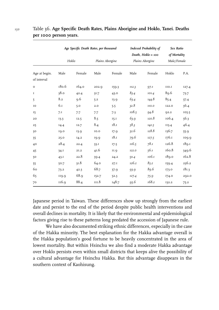|                              | Age Specific Death Rates, per thousand |        |                 |        | Indexed Probability of<br>Death, $Hoklo = 100$ |                 | Sex Ratio<br>of Mortality |       |
|------------------------------|----------------------------------------|--------|-----------------|--------|------------------------------------------------|-----------------|---------------------------|-------|
|                              |                                        | Hoklo  | Plains Aborgine |        |                                                | Plains Aborgine | Male/Female               |       |
| Age at begin.<br>of interval | Male                                   | Female | Male            | Female | Male                                           | Female          | Hoklo                     | P.A.  |
| $\circ$                      | 180.6                                  | 164.0  | 202.9           | 159.3  | 112.3                                          | 97.1            | IIO.I                     | 127.4 |
| I                            | 38.0                                   | 42.4   | 31.7            | 43.0   | 83.4                                           | 101.4           | 89.6                      | 73.7  |
| 5                            | 8.2                                    | 9.6    | 5.2             | 13.9   | 63.4                                           | 144.8           | 85.4                      | 37.4  |
| IO                           | 6.1                                    | 5.0    | 2.0             | 5.5    | 32.8                                           | 110.0           | 122.0                     | 36.4  |
| 15                           | 7.1                                    | 7.7    | 7.7             | 7.3    | 108.5                                          | 94.8            | Q2.2                      | 105.5 |
| 20                           | 13.3                                   | 12.5   | 8.5             | 15.I   | 63.9                                           | 120.8           | 106.4                     | 56.3  |
| 25                           | 14.4                                   | 12.7   | 8.4             | 18.1   | 58.3                                           | 142.5           | 113.4                     | 46.4  |
| 30                           | 19.0                                   | 13.9   | 10.0            | 17.9   | 52.6                                           | 128.8           | 136.7                     | 55.9  |
| 35                           | 25.0                                   | 14.2   | 19.9            | 18.1   | 79.6                                           | 127.5           | 176.1                     | 109.9 |
| 40                           | 28.4                                   | 22.4   | 33.1            | 17.5   | 116.5                                          | 78.1            | 126.8                     | 189.1 |
| 45                           | 34.1                                   | 21.2   | 41.6            | II.9   | 122.0                                          | 56.1            | 160.8                     | 349.6 |
| 50                           | 43.I                                   | 22.8   | 39.4            | 24.2   | 91.4                                           | 106.1           | 189.0                     | 162.8 |
| 55                           | 50.7                                   | 31.8   | 64.0            | 27.1   | 126.2                                          | 85.2            | 159.4                     | 236.2 |
| 60                           | 73.2                                   | 42.3   | 68.7            | 37.9   | 93.9                                           | 89.6            | 173.0                     | 181.3 |
| 65                           | 119.9                                  | 68.9   | 152.7           | 52.3   | 127.4                                          | 75.9            | 174.0                     | 292.0 |
| 70                           | 116.9                                  | 88.4   | III.8           | 148.7  | 95.6                                           | 168.2           | 132.2                     | 75.2  |

# Table 36. **Age Specific Death Rates, Plains Aborigine and Hoklo, Tanei. Deaths per 1000 person years.**

Japanese period in Taiwan. These differences show up strongly from the earliest date and persist to the end of the period despite public health interventions and overall declines in mortality. It is likely that the environmental and epidemiological factors giving rise to these patterns long predated the accession of Japanese rule.

We have also documented striking ethnic differences, especially in the case of the Hakka minority. The best explanation for the Hakka advantage overall is the Hakka population's good fortune to be heavily concentrated in the area of lowest mortality. But within Hsinchu we also find a moderate Hakka advantage over Hoklo persists even within small districts that keeps alive the possibility of a cultural advantage for Hsinchu Hakka. But this advantage disappears in the southern context of Kaohisung.